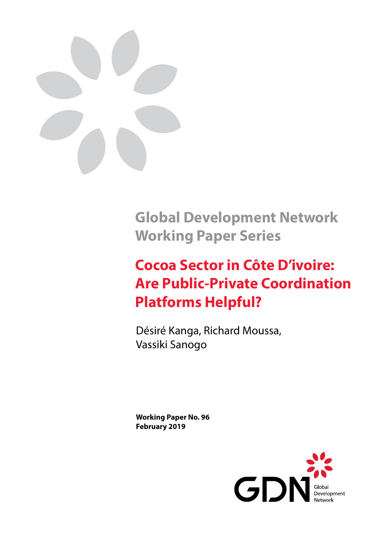

**Global Development Network Working Paper Series**

# **Cocoa Sector in Côte D'ivoire: Are Public-Private Coordination Platforms Helpful?**

Désiré Kanga, Richard Moussa, Vassiki Sanogo

**Working Paper No. 96 February 2019**

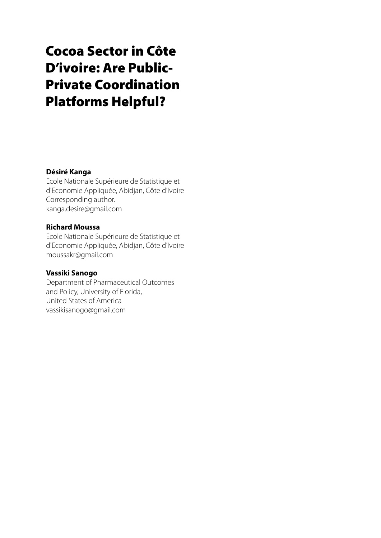## Cocoa Sector in Côte D'ivoire: Are Public-Private Coordination Platforms Helpful?

#### **Désiré Kanga**

Ecole Nationale Supérieure de Statistique et d'Economie Appliquée, Abidjan, Côte d'Ivoire Corresponding author. kanga.desire@gmail.com

#### **Richard Moussa**

Ecole Nationale Supérieure de Statistique et d'Economie Appliquée, Abidjan, Côte d'Ivoire moussakr@gmail.com

#### **Vassiki Sanogo**

Department of Pharmaceutical Outcomes and Policy, University of Florida, United States of America vassikisanogo@gmail.com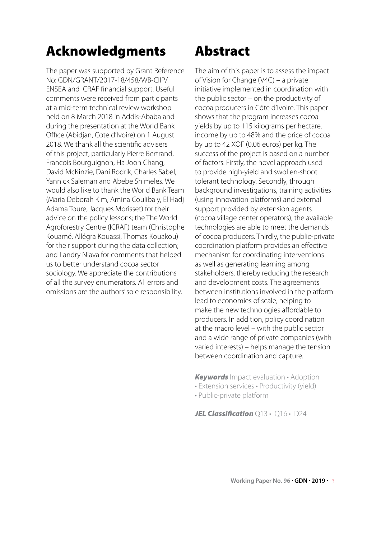## Acknowledgments Abstract

The paper was supported by Grant Reference No: GDN/GRANT/2017-18/458/WB-CIIP/ ENSEA and ICRAF financial support. Useful comments were received from participants at a mid-term technical review workshop held on 8 March 2018 in Addis-Ababa and during the presentation at the World Bank Office (Abidjan, Cote d'Ivoire) on 1 August 2018. We thank all the scientific advisers of this project, particularly Pierre Bertrand, Francois Bourguignon, Ha Joon Chang, David McKinzie, Dani Rodrik, Charles Sabel, Yannick Saleman and Abebe Shimeles. We would also like to thank the World Bank Team (Maria Deborah Kim, Amina Coulibaly, El Hadj Adama Toure, Jacques Morisset) for their advice on the policy lessons; the The World Agroforestry Centre (ICRAF) team (Christophe Kouamé, Allégra Kouassi, Thomas Kouakou) for their support during the data collection; and Landry Niava for comments that helped us to better understand cocoa sector sociology. We appreciate the contributions of all the survey enumerators. All errors and omissions are the authors' sole responsibility.

The aim of this paper is to assess the impact of Vision for Change (V4C) – a private initiative implemented in coordination with the public sector – on the productivity of cocoa producers in Côte d'Ivoire. This paper shows that the program increases cocoa yields by up to 115 kilograms per hectare, income by up to 48% and the price of cocoa by up to 42 XOF (0.06 euros) per kg. The success of the project is based on a number of factors. Firstly, the novel approach used to provide high-yield and swollen-shoot tolerant technology. Secondly, through background investigations, training activities (using innovation platforms) and external support provided by extension agents (cocoa village center operators), the available technologies are able to meet the demands of cocoa producers. Thirdly, the public-private coordination platform provides an effective mechanism for coordinating interventions as well as generating learning among stakeholders, thereby reducing the research and development costs. The agreements between institutions involved in the platform lead to economies of scale, helping to make the new technologies affordable to producers. In addition, policy coordination at the macro level – with the public sector and a wide range of private companies (with varied interests) – helps manage the tension between coordination and capture.

*Keywords* Impact evaluation • Adoption

- Extension services Productivity (yield)
- Public-private platform

*JEL Classification*  $\bigcirc$ 13 •  $\bigcirc$ 16 • D24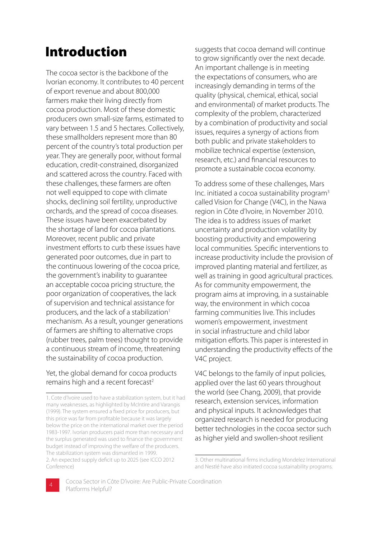## Introduction

The cocoa sector is the backbone of the Ivorian economy. It contributes to 40 percent of export revenue and about 800,000 farmers make their living directly from cocoa production. Most of these domestic producers own small-size farms, estimated to vary between 1.5 and 5 hectares. Collectively, these smallholders represent more than 80 percent of the country's total production per year. They are generally poor, without formal education, credit-constrained, disorganized and scattered across the country. Faced with these challenges, these farmers are often not well equipped to cope with climate shocks, declining soil fertility, unproductive orchards, and the spread of cocoa diseases. These issues have been exacerbated by the shortage of land for cocoa plantations. Moreover, recent public and private investment efforts to curb these issues have generated poor outcomes, due in part to the continuous lowering of the cocoa price, the government's inability to guarantee an acceptable cocoa pricing structure, the poor organization of cooperatives, the lack of supervision and technical assistance for producers, and the lack of a stabilization<sup>1</sup> mechanism. As a result, younger generations of farmers are shifting to alternative crops (rubber trees, palm trees) thought to provide a continuous stream of income, threatening the sustainability of cocoa production.

#### Yet, the global demand for cocoa products remains high and a recent forecast<sup>2</sup>

suggests that cocoa demand will continue to grow significantly over the next decade. An important challenge is in meeting the expectations of consumers, who are increasingly demanding in terms of the quality (physical, chemical, ethical, social and environmental) of market products. The complexity of the problem, characterized by a combination of productivity and social issues, requires a synergy of actions from both public and private stakeholders to mobilize technical expertise (extension, research, etc.) and financial resources to promote a sustainable cocoa economy.

To address some of these challenges, Mars Inc. initiated a cocoa sustainability program3 called Vision for Change (V4C), in the Nawa region in Côte d'Ivoire, in November 2010. The idea is to address issues of market uncertainty and production volatility by boosting productivity and empowering local communities. Specific interventions to increase productivity include the provision of improved planting material and fertilizer, as well as training in good agricultural practices. As for community empowerment, the program aims at improving, in a sustainable way, the environment in which cocoa farming communities live. This includes women's empowerment, investment in social infrastructure and child labor mitigation efforts. This paper is interested in understanding the productivity effects of the V4C project.

V4C belongs to the family of input policies, applied over the last 60 years throughout the world (see Chang, 2009), that provide research, extension services, information and physical inputs. It acknowledges that organized research is needed for producing better technologies in the cocoa sector such as higher yield and swollen-shoot resilient

<sup>3.</sup> Other multinational firms including Mondelez International and Nestlé have also initiated cocoa sustainability programs.



<sup>1.</sup> Cote d'Ivoire used to have a stabilization system, but it had many weaknesses, as highlighted by McIntire and Varangis (1999). The system ensured a fixed price for producers, but this price was far from profitable because it was largely below the price on the international market over the period 1983-1997. Ivorian producers paid more than necessary and the surplus generated was used to finance the government budget instead of improving the welfare of the producers. The stabilization system was dismantled in 1999. 2. An expected supply deficit up to 2025 (see ICCO 2012 Conference)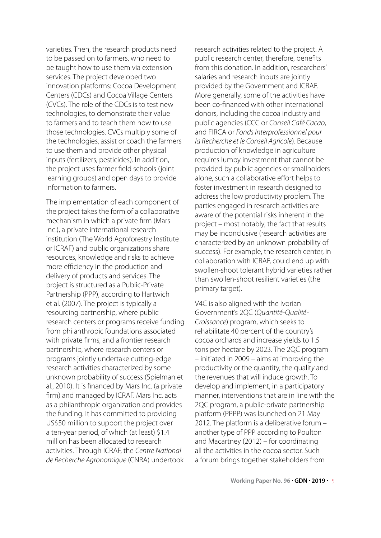varieties. Then, the research products need to be passed on to farmers, who need to be taught how to use them via extension services. The project developed two innovation platforms: Cocoa Development Centers (CDCs) and Cocoa Village Centers (CVCs). The role of the CDCs is to test new technologies, to demonstrate their value to farmers and to teach them how to use those technologies. CVCs multiply some of the technologies, assist or coach the farmers to use them and provide other physical inputs (fertilizers, pesticides). In addition, the project uses farmer field schools (joint learning groups) and open days to provide information to farmers.

The implementation of each component of the project takes the form of a collaborative mechanism in which a private firm (Mars Inc.), a private international research institution (The World Agroforestry Institute or ICRAF) and public organizations share resources, knowledge and risks to achieve more efficiency in the production and delivery of products and services. The project is structured as a Public-Private Partnership (PPP), according to Hartwich et al. (2007). The project is typically a resourcing partnership, where public research centers or programs receive funding from philanthropic foundations associated with private firms, and a frontier research partnership, where research centers or programs jointly undertake cutting-edge research activities characterized by some unknown probability of success (Spielman et al., 2010). It is financed by Mars Inc. (a private firm) and managed by ICRAF. Mars Inc. acts as a philanthropic organization and provides the funding. It has committed to providing US\$50 million to support the project over a ten-year period, of which (at least) \$1.4 million has been allocated to research activities. Through ICRAF, the *Centre National de Recherche Agronomique* (CNRA) undertook

research activities related to the project. A public research center, therefore, benefits from this donation. In addition, researchers' salaries and research inputs are jointly provided by the Government and ICRAF. More generally, some of the activities have been co-financed with other international donors, including the cocoa industry and public agencies (CCC or *Conseil Café Cacao*, and FIRCA or *Fonds Interprofessionnel pour la Recherche et le Conseil Agricole*). Because production of knowledge in agriculture requires lumpy investment that cannot be provided by public agencies or smallholders alone, such a collaborative effort helps to foster investment in research designed to address the low productivity problem. The parties engaged in research activities are aware of the potential risks inherent in the project – most notably, the fact that results may be inconclusive (research activities are characterized by an unknown probability of success). For example, the research center, in collaboration with ICRAF, could end up with swollen-shoot tolerant hybrid varieties rather than swollen-shoot resilient varieties (the primary target).

V4C is also aligned with the Ivorian Government's 2QC (*Quantité-Qualité-Croissance*) program, which seeks to rehabilitate 40 percent of the country's cocoa orchards and increase yields to 1.5 tons per hectare by 2023. The 2QC program – initiated in 2009 – aims at improving the productivity or the quantity, the qualit*y* and the revenues that will induce growth. To develop and implement, in a participatory manner, interventions that are in line with the 2QC program, a public-private partnership platform (PPPP) was launched on 21 May 2012. The platform is a deliberative forum – another type of PPP according to Poulton and Macartney (2012) – for coordinating all the activities in the cocoa sector. Such a forum brings together stakeholders from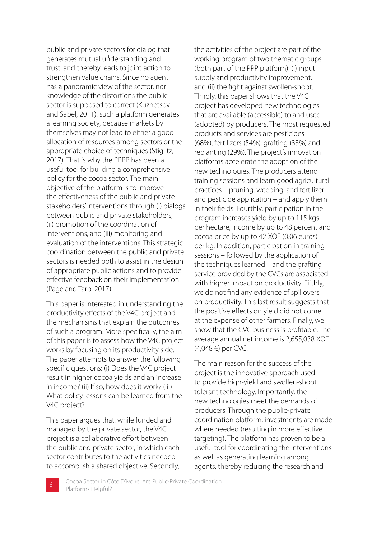generates mutual understanding and public and private sectors for dialog that trust, and thereby leads to joint action to strengthen value chains. Since no agent has a panoramic view of the sector, nor knowledge of the distortions the public sector is supposed to correct (Kuznetsov and Sabel, 2011), such a platform generates a learning society, because markets by themselves may not lead to either a good allocation of resources among sectors or the appropriate choice of techniques (Stiglitz, 2017). That is why the PPPP has been a useful tool for building a comprehensive policy for the cocoa sector. The main objective of the platform is to improve the effectiveness of the public and private stakeholders' interventions through (i) dialogs between public and private stakeholders, (ii) promotion of the coordination of interventions, and (iii) monitoring and evaluation of the interventions. This strategic coordination between the public and private sectors is needed both to assist in the design of appropriate public actions and to provide effective feedback on their implementation (Page and Tarp, 2017).

This paper is interested in understanding the productivity effects of the V4C project and the mechanisms that explain the outcomes of such a program. More specifically, the aim of this paper is to assess how the V4C project works by focusing on its productivity side. The paper attempts to answer the following specific questions: (i) Does the V4C project result in higher cocoa yields and an increase in income? (ii) If so, how does it work? (iii) What policy lessons can be learned from the V4C project?

This paper argues that, while funded and managed by the private sector, the V4C project is a collaborative effort between the public and private sector, in which each sector contributes to the activities needed to accomplish a shared objective. Secondly, the activities of the project are part of the working program of two thematic groups (both part of the PPP platform): (i) input supply and productivity improvement, and (ii) the fight against swollen-shoot. Thirdly, this paper shows that the V4C project has developed new technologies that are available (accessible) to and used (adopted) by producers. The most requested products and services are pesticides (68%), fertilizers (54%), grafting (33%) and replanting (29%). The project's innovation platforms accelerate the adoption of the new technologies. The producers attend training sessions and learn good agricultural practices – pruning, weeding, and fertilizer and pesticide application – and apply them in their fields. Fourthly, participation in the program increases yield by up to 115 kgs per hectare, income by up to 48 percent and cocoa price by up to 42 XOF (0.06 euros) per kg. In addition, participation in training sessions – followed by the application of the techniques learned – and the grafting service provided by the CVCs are associated with higher impact on productivity. Fifthly, we do not find any evidence of spillovers on productivity. This last result suggests that the positive effects on yield did not come at the expense of other farmers. Finally, we show that the CVC business is profitable. The average annual net income is 2,655,038 XOF (4,048 €) per CVC.

The main reason for the success of the project is the innovative approach used to provide high-yield and swollen-shoot tolerant technology. Importantly, the new technologies meet the demands of producers. Through the public-private coordination platform, investments are made where needed (resulting in more effective targeting). The platform has proven to be a useful tool for coordinating the interventions as well as generating learning among agents, thereby reducing the research and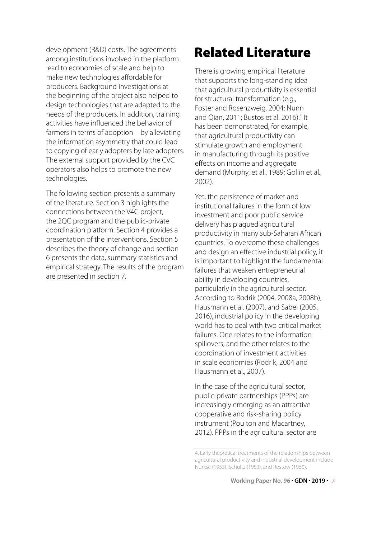development (R&D) costs. The agreements among institutions involved in the platform lead to economies of scale and help to make new technologies affordable for producers. Background investigations at the beginning of the project also helped to design technologies that are adapted to the needs of the producers. In addition, training activities have influenced the behavior of farmers in terms of adoption – by alleviating the information asymmetry that could lead to copying of early adopters by late adopters. The external support provided by the CVC operators also helps to promote the new technologies.

The following section presents a summary of the literature. Section 3 highlights the connections between the V4C project, the 2QC program and the public-private coordination platform. Section 4 provides a presentation of the interventions. Section 5 describes the theory of change and section 6 presents the data, summary statistics and empirical strategy. The results of the program are presented in section 7.

## Related Literature

There is growing empirical literature that supports the long-standing idea that agricultural productivity is essential for structural transformation (e.g., Foster and Rosenzweig, 2004; Nunn and Qian, 2011; Bustos et al. 2016).<sup>4</sup> It has been demonstrated, for example, that agricultural productivity can stimulate growth and employment in manufacturing through its positive effects on income and aggregate demand (Murphy, et al., 1989; Gollin et al., 2002).

Yet, the persistence of market and institutional failures in the form of low investment and poor public service delivery has plagued agricultural productivity in many sub-Saharan African countries. To overcome these challenges and design an effective industrial policy, it is important to highlight the fundamental failures that weaken entrepreneurial ability in developing countries, particularly in the agricultural sector. According to Rodrik (2004, 2008a, 2008b), Hausmann et al. (2007), and Sabel (2005, 2016), industrial policy in the developing world has to deal with two critical market failures. One relates to the information spillovers; and the other relates to the coordination of investment activities in scale economies (Rodrik, 2004 and Hausmann et al., 2007).

In the case of the agricultural sector, public-private partnerships (PPPs) are increasingly emerging as an attractive cooperative and risk-sharing policy instrument (Poulton and Macartney, 2012). PPPs in the agricultural sector are

<sup>4.</sup> Early theoretical treatments of the relationships between agricultural productivity and industrial development include Nurkse (1953), Schultz (1953), and Rostow (1960).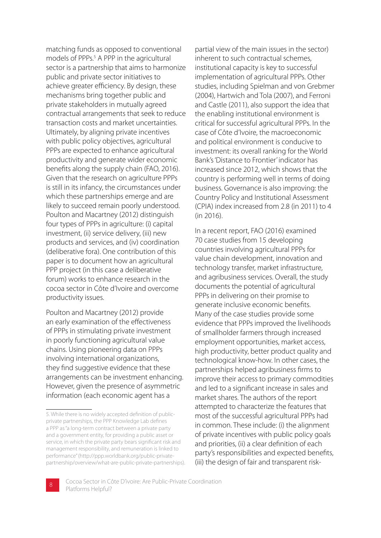matching funds as opposed to conventional models of PPPs.<sup>5</sup> A PPP in the agricultural sector is a partnership that aims to harmonize public and private sector initiatives to achieve greater efficiency. By design, these mechanisms bring together public and private stakeholders in mutually agreed contractual arrangements that seek to reduce transaction costs and market uncertainties. Ultimately, by aligning private incentives with public policy objectives, agricultural PPPs are expected to enhance agricultural productivity and generate wider economic benefits along the supply chain (FAO, 2016). Given that the research on agriculture PPPs is still in its infancy, the circumstances under which these partnerships emerge and are likely to succeed remain poorly understood. Poulton and Macartney (2012) distinguish four types of PPPs in agriculture: (i) capital investment, (ii) service delivery, (iii) new products and services, and (iv) coordination (deliberative fora). One contribution of this paper is to document how an agricultural PPP project (in this case a deliberative forum) works to enhance research in the cocoa sector in Côte d'Ivoire and overcome productivity issues.

Poulton and Macartney (2012) provide an early examination of the effectiveness of PPPs in stimulating private investment in poorly functioning agricultural value chains. Using pioneering data on PPPs involving international organizations, they find suggestive evidence that these arrangements can be investment enhancing. However, given the presence of asymmetric information (each economic agent has a

partial view of the main issues in the sector) inherent to such contractual schemes, institutional capacity is key to successful implementation of agricultural PPPs. Other studies, including Spielman and von Grebmer (2004), Hartwich and Tola (2007), and Ferroni and Castle (2011), also support the idea that the enabling institutional environment is critical for successful agricultural PPPs. In the case of Côte d'Ivoire, the macroeconomic and political environment is conducive to investment: its overall ranking for the World Bank's 'Distance to Frontier' indicator has increased since 2012, which shows that the country is performing well in terms of doing business. Governance is also improving: the Country Policy and Institutional Assessment (CPIA) index increased from 2.8 (in 2011) to 4 (in 2016).

In a recent report, FAO (2016) examined 70 case studies from 15 developing countries involving agricultural PPPs for value chain development, innovation and technology transfer, market infrastructure, and agribusiness services. Overall, the study documents the potential of agricultural PPPs in delivering on their promise to generate inclusive economic benefits. Many of the case studies provide some evidence that PPPs improved the livelihoods of smallholder farmers through increased employment opportunities, market access, high productivity, better product quality and technological know-how. In other cases, the partnerships helped agribusiness firms to improve their access to primary commodities and led to a significant increase in sales and market shares. The authors of the report attempted to characterize the features that most of the successful agricultural PPPs had in common. These include: (i) the alignment of private incentives with public policy goals and priorities, (ii) a clear definition of each party's responsibilities and expected benefits, (iii) the design of fair and transparent risk-

<sup>5.</sup> While there is no widely accepted definition of publicprivate partnerships, the PPP Knowledge Lab defines a PPP as "a long-term contract between a private party and a government entity, for providing a public asset or service, in which the private party bears significant risk and management responsibility, and remuneration is linked to performance" (http://ppp.worldbank.org/public-privatepartnership/overview/what-are-public-private-partnerships).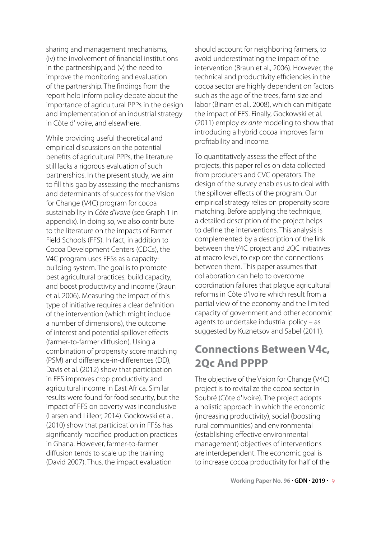sharing and management mechanisms, (iv) the involvement of financial institutions in the partnership; and (v) the need to improve the monitoring and evaluation of the partnership. The findings from the report help inform policy debate about the importance of agricultural PPPs in the design and implementation of an industrial strategy in Côte d'Ivoire, and elsewhere.

While providing useful theoretical and empirical discussions on the potential benefits of agricultural PPPs, the literature still lacks a rigorous evaluation of such partnerships. In the present study, we aim to fill this gap by assessing the mechanisms and determinants of success for the Vision for Change (V4C) program for cocoa sustainability in *Côte d'Ivoire* (see Graph 1 in appendix). In doing so, we also contribute to the literature on the impacts of Farmer Field Schools (FFS). In fact, in addition to Cocoa Development Centers (CDCs), the V4C program uses FFSs as a capacitybuilding system. The goal is to promote best agricultural practices, build capacity, and boost productivity and income (Braun et al. 2006). Measuring the impact of this type of initiative requires a clear definition of the intervention (which might include a number of dimensions), the outcome of interest and potential spillover effects (farmer-to-farmer diffusion). Using a combination of propensity score matching (PSM) and difference-in-differences (DD), Davis et al. (2012) show that participation in FFS improves crop productivity and agricultural income in East Africa. Similar results were found for food security, but the impact of FFS on poverty was inconclusive (Larsen and Lilleor, 2014). Gockowski et al. (2010) show that participation in FFSs has significantly modified production practices in Ghana. However, farmer-to-farmer diffusion tends to scale up the training (David 2007). Thus, the impact evaluation

should account for neighboring farmers, to avoid underestimating the impact of the intervention (Braun et al., 2006). However, the technical and productivity efficiencies in the cocoa sector are highly dependent on factors such as the age of the trees, farm size and labor (Binam et al., 2008), which can mitigate the impact of FFS. Finally, Gockowski et al. (2011) employ *ex ante* modeling to show that introducing a hybrid cocoa improves farm profitability and income.

To quantitatively assess the effect of the projects, this paper relies on data collected from producers and CVC operators. The design of the survey enables us to deal with the spillover effects of the program. Our empirical strategy relies on propensity score matching. Before applying the technique, a detailed description of the project helps to define the interventions. This analysis is complemented by a description of the link between the V4C project and 2QC initiatives at macro level, to explore the connections between them. This paper assumes that collaboration can help to overcome coordination failures that plague agricultural reforms in Côte d'Ivoire which result from a partial view of the economy and the limited capacity of government and other economic agents to undertake industrial policy – as suggested by Kuznetsov and Sabel (2011).

### **Connections Between V4c, 2Qc And PPPP**

The objective of the Vision for Change (V4C) project is to revitalize the cocoa sector in Soubré (Côte d'Ivoire). The project adopts a holistic approach in which the economic (increasing productivity), social (boosting rural communities) and environmental (establishing effective environmental management) objectives of interventions are interdependent. The economic goal is to increase cocoa productivity for half of the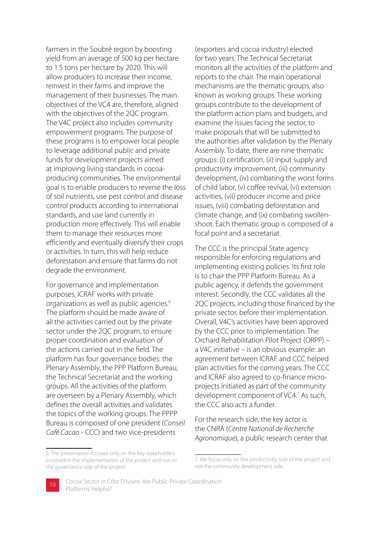farmers in the Soubré region by boosting yield from an average of 500 kg per hectare to 1.5 tons per hectare by 2020. This will allow producers to increase their income, reinvest in their farms and improve the management of their businesses. The main objectives of the VC4 are, therefore, aligned with the objectives of the 2QC program. The V4C project also includes community empowerment programs. The purpose of these programs is to empower local people to leverage additional public and private funds for development projects aimed at improving living standards in cocoaproducing communities. The environmental goal is to enable producers to reverse the loss of soil nutrients, use pest control and disease control products according to international standards, and use land currently in production more effectively. This will enable them to manage their resources more efficiently and eventually diversify their crops or activities. In turn, this will help reduce deforestation and ensure that farms do not degrade the environment.

For governance and implementation purposes, ICRAF works with private organizations as well as public agencies.6 The platform should be made aware of all the activities carried out by the private sector under the 2QC program, to ensure proper coordination and evaluation of the actions carried out in the field. The platform has four governance bodies: the Plenary Assembly, the PPP Platform Bureau, the Technical Secretariat and the working groups. All the activities of the platform are overseen by a Plenary Assembly, which defines the overall activities and validates the topics of the working groups. The PPPP Bureau is composed of one president (*Conseil Café Cacao* - CCC) and two vice-presidents

(exporters and cocoa industry) elected for two years. The Technical Secretariat monitors all the activities of the platform and reports to the chair. The main operational mechanisms are the thematic groups, also known as working groups. These working groups contribute to the development of the platform action plans and budgets, and examine the issues facing the sector, to make proposals that will be submitted to the authorities after validation by the Plenary Assembly. To date, there are nine thematic groups: (i) certification, (ii) input supply and productivity improvement, (iii) community development, (iv) combating the worst forms of child labor, (v) coffee revival, (vi) extension activities, (vii) producer income and price issues, (viii) combating deforestation and climate change, and (ix) combating swollenshoot. Each thematic group is composed of a focal point and a secretariat.

The CCC is the principal State agency responsible for enforcing regulations and implementing existing policies. Its first role is to chair the PPP Platform Bureau. As a public agency, it defends the government interest. Secondly, the CCC validates all the 2QC projects, including those financed by the private sector, before their implementation. Overall, V4C's activities have been approved by the CCC prior to implementation. The Orchard Rehabilitation Pilot Project (ORPP) – a V4C initiative – is an obvious example: an agreement between ICRAF and CCC helped plan activities for the coming years. The CCC and ICRAF also agreed to co-finance microprojects initiated as part of the community development component of VC4.<sup>7</sup> As such, the CCC also acts a funder.

For the research side, the key actor is the CNRA (*Centre National de Recherche Agronomique*), a public research center that

<sup>7.</sup> We focus only on the productivity side of the project and not the community development side.



<sup>6.</sup> The presentation focuses only on the key stakeholders involved in the implementation of the project and not on the governance side of the project.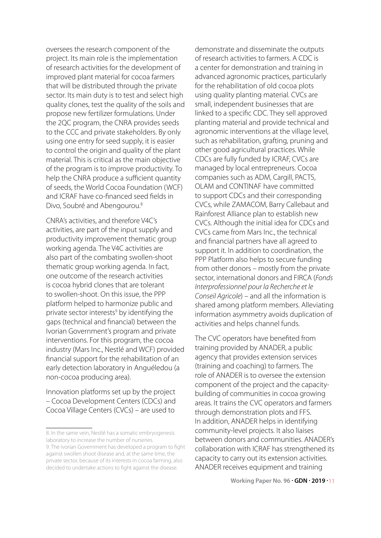oversees the research component of the project. Its main role is the implementation of research activities for the development of improved plant material for cocoa farmers that will be distributed through the private sector. Its main duty is to test and select high quality clones, test the quality of the soils and propose new fertilizer formulations. Under the 2QC program, the CNRA provides seeds to the CCC and private stakeholders. By only using one entry for seed supply, it is easier to control the origin and quality of the plant material. This is critical as the main objective of the program is to improve productivity. To help the CNRA produce a sufficient quantity of seeds, the World Cocoa Foundation (WCF) and ICRAF have co-financed seed fields in Divo, Soubré and Abengourou.8

CNRA's activities, and therefore V4C's activities, are part of the input supply and productivity improvement thematic group working agenda. The V4C activities are also part of the combating swollen-shoot thematic group working agenda. In fact, one outcome of the research activities is cocoa hybrid clones that are tolerant to swollen-shoot. On this issue, the PPP platform helped to harmonize public and private sector interests<sup>9</sup> by identifying the gaps (technical and financial) between the Ivorian Government's program and private interventions. For this program, the cocoa industry (Mars Inc., Nestlé and WCF) provided financial support for the rehabilitation of an early detection laboratory in Anguéledou (a non-cocoa producing area).

Innovation platforms set up by the project – Cocoa Development Centers (CDCs) and Cocoa Village Centers (CVCs) – are used to

demonstrate and disseminate the outputs of research activities to farmers. A CDC is a center for demonstration and training in advanced agronomic practices, particularly for the rehabilitation of old cocoa plots using quality planting material. CVCs are small, independent businesses that are linked to a specific CDC. They sell approved planting material and provide technical and agronomic interventions at the village level, such as rehabilitation, grafting, pruning and other good agricultural practices. While CDCs are fully funded by ICRAF, CVCs are managed by local entrepreneurs. Cocoa companies such as ADM, Cargill, PACTS, OLAM and CONTINAF have committed to support CDCs and their corresponding CVCs, while ZAMACOM, Barry Callebaut and Rainforest Alliance plan to establish new CVCs. Although the initial idea for CDCs and CVCs came from Mars Inc., the technical and financial partners have all agreed to support it. In addition to coordination, the PPP Platform also helps to secure funding from other donors – mostly from the private sector, international donors and FIRCA (*Fonds Interprofessionnel pour la Recherche et le Conseil Agricole*) – and all the information is shared among platform members. Alleviating information asymmetry avoids duplication of activities and helps channel funds.

The CVC operators have benefited from training provided by ANADER, a public agency that provides extension services (training and coaching) to farmers. The role of ANADER is to oversee the extension component of the project and the capacitybuilding of communities in cocoa growing areas. It trains the CVC operators and farmers through demonstration plots and FFS. In addition, ANADER helps in identifying community-level projects. It also liaises between donors and communities. ANADER's collaboration with ICRAF has strengthened its capacity to carry out its extension activities. ANADER receives equipment and training

**Working Paper No. 96 . GDN . 2019 .** 11

<sup>8.</sup> In the same vein, Nestlé has a somatic embryogenesis laboratory to increase the number of nurseries. 9. The Ivorian Government has developed a program to fight against swollen shoot disease and, at the same time, the private sector, because of its interests in cocoa farming, also decided to undertake actions to fight against the disease.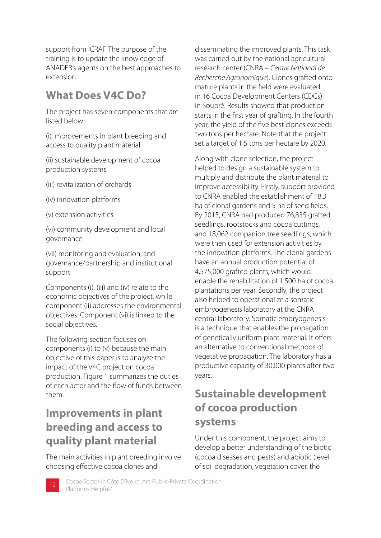support from ICRAF. The purpose of the training is to update the knowledge of ANADER's agents on the best approaches to extension.

### **What Does V4C Do?**

The project has seven components that are listed below:

(i) improvements in plant breeding and access to quality plant material

(ii) sustainable development of cocoa production systems

- (iii) revitalization of orchards
- (iv) innovation platforms
- (v) extension activities

(vi) community development and local governance

(vii) monitoring and evaluation, and governance/partnership and institutional support

Components (i), (iii) and (iv) relate to the economic objectives of the project, while component (ii) addresses the environmental objectives. Component (vi) is linked to the social objectives.

The following section focuses on components (i) to (v) because the main objective of this paper is to analyze the impact of the V4C project on cocoa production. Figure 1 summarizes the duties of each actor and the flow of funds between them.

### **Improvements in plant breeding and access to quality plant material**

The main activities in plant breeding involve choosing effective cocoa clones and

disseminating the improved plants. This task was carried out by the national agricultural research center (CNRA – *Centre National de Recherche Agronomique*). Clones grafted onto mature plants in the field were evaluated in 16 Cocoa Development Centers (CDCs) in Soubré. Results showed that production starts in the first year of grafting. In the fourth year, the yield of the five best clones exceeds two tons per hectare. Note that the project set a target of 1.5 tons per hectare by 2020.

Along with clone selection, the project helped to design a sustainable system to multiply and distribute the plant material to improve accessibility. Firstly, support provided to CNRA enabled the establishment of 18.3 ha of clonal gardens and 5 ha of seed fields. By 2015, CNRA had produced 76,835 grafted seedlings, rootstocks and cocoa cuttings, and 18,062 companion tree seedlings, which were then used for extension activities by the innovation platforms. The clonal gardens have an annual production potential of 4,575,000 grafted plants, which would enable the rehabilitation of 1,500 ha of cocoa plantations per year. Secondly, the project also helped to operationalize a somatic embryogenesis laboratory at the CNRA central laboratory. Somatic embryogenesis is a technique that enables the propagation of genetically uniform plant material. It offers an alternative to conventional methods of vegetative propagation. The laboratory has a productive capacity of 30,000 plants after two years.

### **Sustainable development of cocoa production systems**

Under this component, the project aims to develop a better understanding of the biotic (cocoa diseases and pests) and abiotic (level of soil degradation, vegetation cover, the

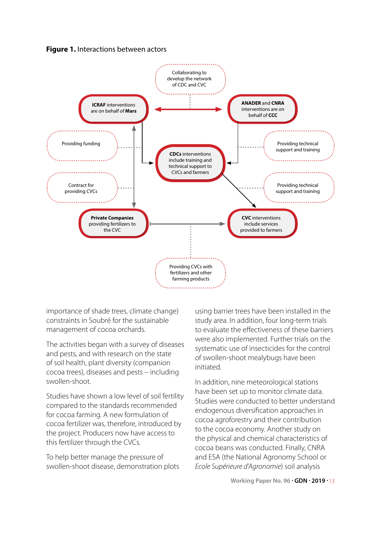



importance of shade trees, climate change) constraints in Soubré for the sustainable management of cocoa orchards.

The activities began with a survey of diseases and pests, and with research on the state of soil health, plant diversity (companion cocoa trees), diseases and pests – including swollen-shoot.

Studies have shown a low level of soil fertility compared to the standards recommended for cocoa farming. A new formulation of cocoa fertilizer was, therefore, introduced by the project. Producers now have access to this fertilizer through the CVCs.

To help better manage the pressure of swollen-shoot disease, demonstration plots

using barrier trees have been installed in the study area. In addition, four long-term trials to evaluate the effectiveness of these barriers were also implemented. Further trials on the systematic use of insecticides for the control of swollen-shoot mealybugs have been initiated.

In addition, nine meteorological stations have been set up to monitor climate data. Studies were conducted to better understand endogenous diversification approaches in cocoa agroforestry and their contribution to the cocoa economy. Another study on the physical and chemical characteristics of cocoa beans was conducted. Finally, CNRA and ESA (the National Agronomy School or *Ecole Supérieure d'Agronomie*) soil analysis

**Working Paper No. 96 . GDN . 2019 .** 13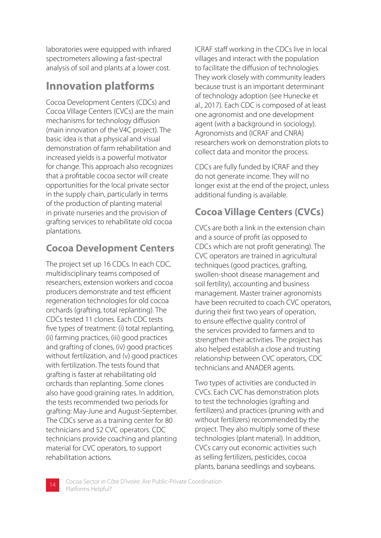laboratories were equipped with infrared spectrometers allowing a fast-spectral analysis of soil and plants at a lower cost.

## **Innovation platforms**

Cocoa Development Centers (CDCs) and Cocoa Village Centers (CVCs) are the main mechanisms for technology diffusion (main innovation of the V4C project). The basic idea is that a physical and visual demonstration of farm rehabilitation and increased yields is a powerful motivator for change. This approach also recognizes that a profitable cocoa sector will create opportunities for the local private sector in the supply chain, particularly in terms of the production of planting material in private nurseries and the provision of grafting services to rehabilitate old cocoa plantations.

### **Cocoa Development Centers**

The project set up 16 CDCs. In each CDC, multidisciplinary teams composed of researchers, extension workers and cocoa producers demonstrate and test efficient regeneration technologies for old cocoa orchards (grafting, total replanting). The CDCs tested 11 clones. Each CDC tests five types of treatment: (i) total replanting, (ii) farming practices, (iii) good practices and grafting of clones, (iv) good practices without fertilization, and (v) good practices with fertilization. The tests found that grafting is faster at rehabilitating old orchards than replanting. Some clones also have good graining rates. In addition, the tests recommended two periods for grafting: May-June and August-September. The CDCs serve as a training center for 80 technicians and 52 CVC operators. CDC technicians provide coaching and planting material for CVC operators, to support rehabilitation actions.

ICRAF staff working in the CDCs live in local villages and interact with the population to facilitate the diffusion of technologies. They work closely with community leaders because trust is an important determinant of technology adoption (see Hunecke et al., 2017). Each CDC is composed of at least one agronomist and one development agent (with a background in sociology). Agronomists and (ICRAF and CNRA) researchers work on demonstration plots to collect data and monitor the process.

CDCs are fully funded by ICRAF and they do not generate income. They will no longer exist at the end of the project, unless additional funding is available.

### **Cocoa Village Centers (CVCs)**

CVCs are both a link in the extension chain and a source of profit (as opposed to CDCs which are not profit generating). The CVC operators are trained in agricultural techniques (good practices, grafting, swollen-shoot disease management and soil fertility), accounting and business management. Master trainer agronomists have been recruited to coach CVC operators, during their first two years of operation, to ensure effective quality control of the services provided to farmers and to strengthen their activities. The project has also helped establish a close and trusting relationship between CVC operators, CDC technicians and ANADER agents.

Two types of activities are conducted in CVCs. Each CVC has demonstration plots to test the technologies (grafting and fertilizers) and practices (pruning with and without fertilizers) recommended by the project. They also multiply some of these technologies (plant material). In addition, CVCs carry out economic activities such as selling fertilizers, pesticides, cocoa plants, banana seedlings and soybeans.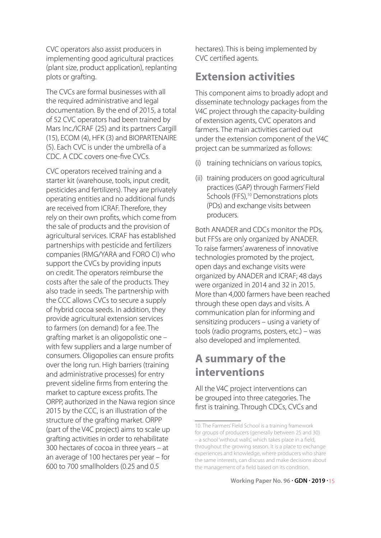CVC operators also assist producers in implementing good agricultural practices (plant size, product application), replanting plots or grafting.

The CVCs are formal businesses with all the required administrative and legal documentation. By the end of 2015, a total of 52 CVC operators had been trained by Mars Inc./ICRAF (25) and its partners Cargill (15), ECOM (4), HFK (3) and BIOPARTENAIRE (5). Each CVC is under the umbrella of a CDC. A CDC covers one-five CVCs.

CVC operators received training and a starter kit (warehouse, tools, input credit, pesticides and fertilizers). They are privately operating entities and no additional funds are received from ICRAF. Therefore, they rely on their own profits, which come from the sale of products and the provision of agricultural services. ICRAF has established partnerships with pesticide and fertilizers companies (RMG/YARA and FORO CI) who support the CVCs by providing inputs on credit. The operators reimburse the costs after the sale of the products. They also trade in seeds. The partnership with the CCC allows CVCs to secure a supply of hybrid cocoa seeds. In addition, they provide agricultural extension services to farmers (on demand) for a fee. The grafting market is an oligopolistic one – with few suppliers and a large number of consumers. Oligopolies can ensure profits over the long run. High barriers (training and administrative processes) for entry prevent sideline firms from entering the market to capture excess profits. The ORPP, authorized in the Nawa region since 2015 by the CCC, is an illustration of the structure of the grafting market. ORPP (part of the V4C project) aims to scale up grafting activities in order to rehabilitate 300 hectares of cocoa in three years – at an average of 100 hectares per year – for 600 to 700 smallholders (0.25 and 0.5

hectares). This is being implemented by CVC certified agents.

### **Extension activities**

This component aims to broadly adopt and disseminate technology packages from the V4C project through the capacity-building of extension agents, CVC operators and farmers. The main activities carried out under the extension component of the V4C project can be summarized as follows:

- (i) training technicians on various topics,
- (ii) training producers on good agricultural practices (GAP) through Farmers' Field Schools (FFS),<sup>10</sup> Demonstrations plots (PDs) and exchange visits between producers.

Both ANADER and CDCs monitor the PDs, but FFSs are only organized by ANADER. To raise farmers' awareness of innovative technologies promoted by the project, open days and exchange visits were organized by ANADER and ICRAF; 48 days were organized in 2014 and 32 in 2015. More than 4,000 farmers have been reached through these open days and visits. A communication plan for informing and sensitizing producers – using a variety of tools (radio programs, posters, etc.) – was also developed and implemented.

## **A summary of the interventions**

All the V4C project interventions can be grouped into three categories. The first is training. Through CDCs, CVCs and

<sup>10.</sup> The Farmers' Field School is a training framework for groups of producers (generally between 25 and 30) – a school 'without walls', which takes place in a field, throughout the growing season. It is a place to exchange experiences and knowledge, where producers who share the same interests, can discuss and make decisions about the management of a field based on its condition.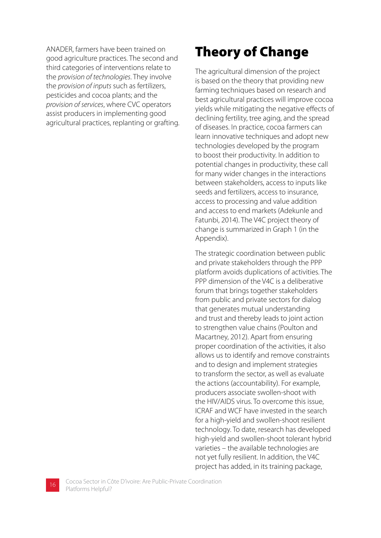ANADER, farmers have been trained on good agriculture practices. The second and third categories of interventions relate to the *provision of technologies*. They involve the *provision of inputs* such as fertilizers, pesticides and cocoa plants; and the *provision of services*, where CVC operators assist producers in implementing good agricultural practices, replanting or grafting.

## Theory of Change

The agricultural dimension of the project is based on the theory that providing new farming techniques based on research and best agricultural practices will improve cocoa yields while mitigating the negative effects of declining fertility, tree aging, and the spread of diseases. In practice, cocoa farmers can learn innovative techniques and adopt new technologies developed by the program to boost their productivity. In addition to potential changes in productivity, these call for many wider changes in the interactions between stakeholders, access to inputs like seeds and fertilizers, access to insurance, access to processing and value addition and access to end markets (Adekunle and Fatunbi, 2014). The V4C project theory of change is summarized in Graph 1 (in the Appendix).

The strategic coordination between public and private stakeholders through the PPP platform avoids duplications of activities. The PPP dimension of the V4C is a deliberative forum that brings together stakeholders from public and private sectors for dialog that generates mutual understanding and trust and thereby leads to joint action to strengthen value chains (Poulton and Macartney, 2012). Apart from ensuring proper coordination of the activities, it also allows us to identify and remove constraints and to design and implement strategies to transform the sector, as well as evaluate the actions (accountability). For example, producers associate swollen-shoot with the HIV/AIDS virus. To overcome this issue, ICRAF and WCF have invested in the search for a high-yield and swollen-shoot resilient technology. To date, research has developed high-yield and swollen-shoot tolerant hybrid varieties – the available technologies are not yet fully resilient. In addition, the V4C project has added, in its training package,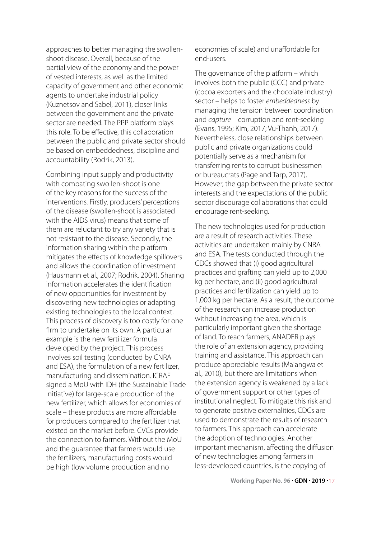approaches to better managing the swollenshoot disease. Overall, because of the partial view of the economy and the power of vested interests, as well as the limited capacity of government and other economic agents to undertake industrial policy (Kuznetsov and Sabel, 2011), closer links between the government and the private sector are needed. The PPP platform plays this role. To be effective, this collaboration between the public and private sector should be based on embeddedness, discipline and accountability (Rodrik, 2013).

Combining input supply and productivity with combating swollen-shoot is one of the key reasons for the success of the interventions. Firstly, producers' perceptions of the disease (swollen-shoot is associated with the AIDS virus) means that some of them are reluctant to try any variety that is not resistant to the disease. Secondly, the information sharing within the platform mitigates the effects of knowledge spillovers and allows the coordination of investment (Hausmann et al., 2007; Rodrik, 2004). Sharing information accelerates the identification of new opportunities for investment by discovering new technologies or adapting existing technologies to the local context. This process of discovery is too costly for one firm to undertake on its own. A particular example is the new fertilizer formula developed by the project. This process involves soil testing (conducted by CNRA and ESA), the formulation of a new fertilizer, manufacturing and dissemination. ICRAF signed a MoU with IDH (the Sustainable Trade Initiative) for large-scale production of the new fertilizer, which allows for economies of scale – these products are more affordable for producers compared to the fertilizer that existed on the market before. CVCs provide the connection to farmers. Without the MoU and the guarantee that farmers would use the fertilizers, manufacturing costs would be high (low volume production and no

economies of scale) and unaffordable for end-users.

The governance of the platform – which involves both the public (CCC) and private (cocoa exporters and the chocolate industry) sector – helps to foster *embeddedness* by managing the tension between coordination and *capture* – corruption and rent-seeking (Evans, 1995; Kim, 2017; Vu-Thanh, 2017). Nevertheless, close relationships between public and private organizations could potentially serve as a mechanism for transferring rents to corrupt businessmen or bureaucrats (Page and Tarp, 2017). However, the gap between the private sector interests and the expectations of the public sector discourage collaborations that could encourage rent-seeking.

The new technologies used for production are a result of research activities. These activities are undertaken mainly by CNRA and ESA. The tests conducted through the CDCs showed that (i) good agricultural practices and grafting can yield up to 2,000 kg per hectare, and (ii) good agricultural practices and fertilization can yield up to 1,000 kg per hectare. As a result, the outcome of the research can increase production without increasing the area, which is particularly important given the shortage of land. To reach farmers, ANADER plays the role of an extension agency, providing training and assistance. This approach can produce appreciable results (Maiangwa et al., 2010), but there are limitations when the extension agency is weakened by a lack of government support or other types of institutional neglect. To mitigate this risk and to generate positive externalities, CDCs are used to demonstrate the results of research to farmers. This approach can accelerate the adoption of technologies. Another important mechanism, affecting the diffusion of new technologies among farmers in less-developed countries, is the copying of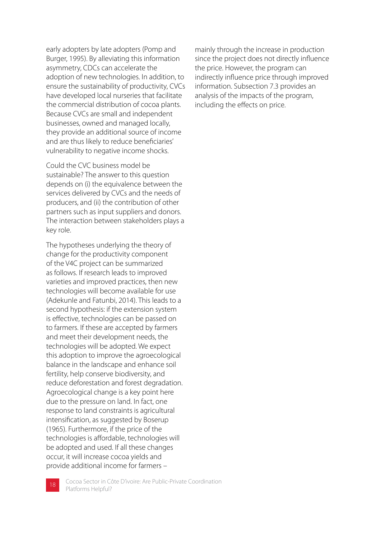early adopters by late adopters (Pomp and Burger, 1995). By alleviating this information asymmetry, CDCs can accelerate the adoption of new technologies. In addition, to ensure the sustainability of productivity, CVCs have developed local nurseries that facilitate the commercial distribution of cocoa plants. Because CVCs are small and independent businesses, owned and managed locally, they provide an additional source of income and are thus likely to reduce beneficiaries' vulnerability to negative income shocks.

Could the CVC business model be sustainable? The answer to this question depends on (i) the equivalence between the services delivered by CVCs and the needs of producers, and (ii) the contribution of other partners such as input suppliers and donors. The interaction between stakeholders plays a key role.

The hypotheses underlying the theory of change for the productivity component of the V4C project can be summarized as follows. If research leads to improved varieties and improved practices, then new technologies will become available for use (Adekunle and Fatunbi, 2014). This leads to a second hypothesis: if the extension system is effective, technologies can be passed on to farmers. If these are accepted by farmers and meet their development needs, the technologies will be adopted. We expect this adoption to improve the agroecological balance in the landscape and enhance soil fertility, help conserve biodiversity, and reduce deforestation and forest degradation. Agroecological change is a key point here due to the pressure on land. In fact, one response to land constraints is agricultural intensification, as suggested by Boserup (1965). Furthermore, if the price of the technologies is affordable, technologies will be adopted and used. If all these changes occur, it will increase cocoa yields and provide additional income for farmers –

mainly through the increase in production since the project does not directly influence the price. However, the program can indirectly influence price through improved information. Subsection 7.3 provides an analysis of the impacts of the program, including the effects on price.

Cocoa Sector in Côte D'ivoire: Are Public-Private Coordination **18** Cocoa Sector in Co<br>Platforms Helpful?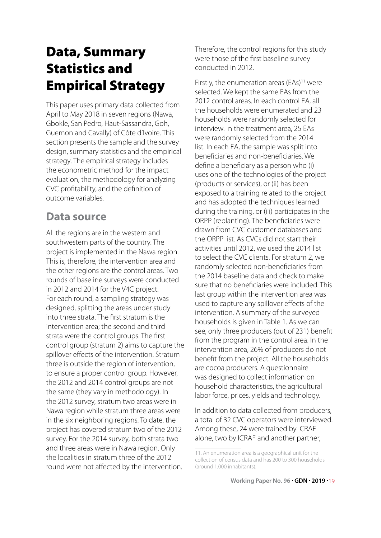## Data, Summary Statistics and Empirical Strategy

This paper uses primary data collected from April to May 2018 in seven regions (Nawa, Gbokle, San Pedro, Haut-Sassandra, Goh, Guemon and Cavally) of Côte d'Ivoire. This section presents the sample and the survey design, summary statistics and the empirical strategy. The empirical strategy includes the econometric method for the impact evaluation, the methodology for analyzing CVC profitability, and the definition of outcome variables.

### **Data source**

All the regions are in the western and southwestern parts of the country. The project is implemented in the Nawa region. This is, therefore, the intervention area and the other regions are the control areas. Two rounds of baseline surveys were conducted in 2012 and 2014 for the V4C project. For each round, a sampling strategy was designed, splitting the areas under study into three strata. The first stratum is the intervention area; the second and third strata were the control groups. The first control group (stratum 2) aims to capture the spillover effects of the intervention. Stratum three is outside the region of intervention, to ensure a proper control group. However, the 2012 and 2014 control groups are not the same (they vary in methodology). In the 2012 survey, stratum two areas were in Nawa region while stratum three areas were in the six neighboring regions. To date, the project has covered stratum two of the 2012 survey. For the 2014 survey, both strata two and three areas were in Nawa region. Only the localities in stratum three of the 2012 round were not affected by the intervention.

Therefore, the control regions for this study were those of the first baseline survey conducted in 2012.

Firstly, the enumeration areas  $(EAs)^{11}$  were selected. We kept the same EAs from the 2012 control areas. In each control EA, all the households were enumerated and 23 households were randomly selected for interview. In the treatment area, 25 EAs were randomly selected from the 2014 list. In each EA, the sample was split into beneficiaries and non-beneficiaries. We define a beneficiary as a person who (i) uses one of the technologies of the project (products or services), or (ii) has been exposed to a training related to the project and has adopted the techniques learned during the training, or (iii) participates in the ORPP (replanting). The beneficiaries were drawn from CVC customer databases and the ORPP list. As CVCs did not start their activities until 2012, we used the 2014 list to select the CVC clients. For stratum 2, we randomly selected non-beneficiaries from the 2014 baseline data and check to make sure that no beneficiaries were included. This last group within the intervention area was used to capture any spillover effects of the intervention. A summary of the surveyed households is given in Table 1. As we can see, only three producers (out of 231) benefit from the program in the control area. In the intervention area, 26% of producers do not benefit from the project. All the households are cocoa producers. A questionnaire was designed to collect information on household characteristics, the agricultural labor force, prices, yields and technology.

In addition to data collected from producers, a total of 32 CVC operators were interviewed. Among these, 24 were trained by ICRAF alone, two by ICRAF and another partner,

<sup>11.</sup> An enumeration area is a geographical unit for the collection of census data and has 200 to 300 households (around 1,000 inhabitants).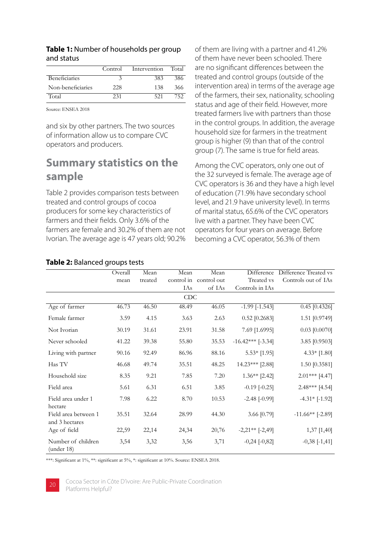|                      | Control | Intervention | Total |
|----------------------|---------|--------------|-------|
| <b>Beneficiaries</b> |         | 383          | 386   |
| Non-beneficiaries    | 228     | 138          | 366   |
| Total                | 231     | 521          | 752   |

#### **Table 1:** Number of households per group and status

Source: ENSEA 2018

and six by other partners. The two sources of information allow us to compare CVC operators and producers.

### **Summary statistics on the sample**

Table 2 provides comparison tests between treated and control groups of cocoa producers for some key characteristics of farmers and their fields. Only 3.6% of the farmers are female and 30.2% of them are not Ivorian. The average age is 47 years old; 90.2% of them are living with a partner and 41.2% of them have never been schooled. There are no significant differences between the treated and control groups (outside of the intervention area) in terms of the average age of the farmers, their sex, nationality, schooling status and age of their field. However, more treated farmers live with partners than those in the control groups. In addition, the average household size for farmers in the treatment group is higher (9) than that of the control group (7). The same is true for field areas.

Among the CVC operators, only one out of the 32 surveyed is female. The average age of CVC operators is 36 and they have a high level of education (71.9% have secondary school level, and 21.9 have university level). In terms of marital status, 65.6% of the CVC operators live with a partner. They have been CVC operators for four years on average. Before becoming a CVC operator, 56.3% of them

|                                        | Overall | Mean    | Mean  | Mean                   | Difference            | Difference Treated vs |
|----------------------------------------|---------|---------|-------|------------------------|-----------------------|-----------------------|
|                                        | mean    | treated |       | control in control out | Treated vs            | Controls out of IAs   |
|                                        |         |         | IAs   | of IAs                 | Controls in IAs       |                       |
|                                        |         |         | CDC   |                        |                       |                       |
| Age of farmer                          | 46.73   | 46.50   | 48.49 | 46.05                  | $-1.99$ $[-1.543]$    | $0.45$ [0.4326]       |
| Female farmer                          | 3.59    | 4.15    | 3.63  | 2.63                   | $0.52$ [0.2683]       | 1.51 [0.9749]         |
| Not Ivorian                            | 30.19   | 31.61   | 23.91 | 31.58                  | 7.69 [1.6995]         | $0.03$ [0.0070]       |
| Never schooled                         | 41.22   | 39.38   | 55.80 | 35.53                  | $-16.42***$ [-3.34]   | 3.85 [0.9503]         |
| Living with partner                    | 90.16   | 92.49   | 86.96 | 88.16                  | $5.53*$ [1.95]        | $4.33*$ [1.80]        |
| Has TV                                 | 46.68   | 49.74   | 35.51 | 48.25                  | 14.23*** [2.88]       | 1.50 [0.3581]         |
| Household size                         | 8.35    | 9.21    | 7.85  | 7.20                   | $1.36**$ [2.42]       | $2.01***$ [4.47]      |
| Field area                             | 5.61    | 6.31    | 6.51  | 3.85                   | $-0.19$ $[-0.25]$     | $2.48***$ [4.54]      |
| Field area under 1<br>hectare          | 7.98    | 6.22    | 8.70  | 10.53                  | $-2.48$ $[-0.99]$     | $-4.31*$ [-1.92]      |
| Field area between 1<br>and 3 hectares | 35.51   | 32.64   | 28.99 | 44.30                  | 3.66 [0.79]           | $-11.66**$ [-2.89]    |
| Age of field                           | 22,59   | 22,14   | 24,34 | 20,76                  | $-2,21**$ [ $-2,49$ ] | 1,37 [1,40]           |
| Number of children<br>(under 18)       | 3,54    | 3,32    | 3,56  | 3,71                   | $-0,24$ $[-0,82]$     | $-0,38$ [ $-1,41$ ]   |

#### **Table 2:** Balanced groups tests

\*\*\*: Significant at 1%, \*\*: significant at 5%, \*: significant at 10%. Source: ENSEA 2018.



Cocoa Sector in Côte D'ivoire: Are Public-Private Coordination **20** Platforms Helpful?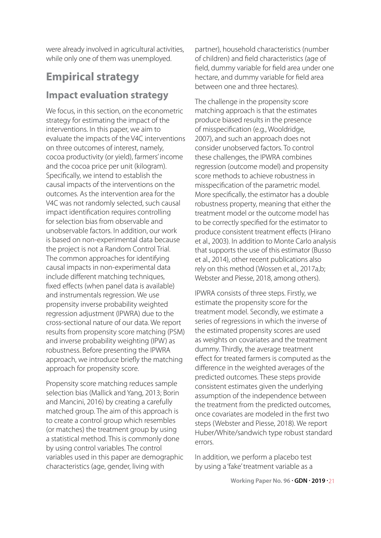were already involved in agricultural activities, while only one of them was unemployed.

## **Empirical strategy**

#### **Impact evaluation strategy**

We focus, in this section, on the econometric strategy for estimating the impact of the interventions. In this paper, we aim to evaluate the impacts of the V4C interventions on three outcomes of interest, namely, cocoa productivity (or yield), farmers' income and the cocoa price per unit (kilogram). Specifically, we intend to establish the causal impacts of the interventions on the outcomes. As the intervention area for the V4C was not randomly selected, such causal impact identification requires controlling for selection bias from observable and unobservable factors. In addition, our work is based on non-experimental data because the project is not a Random Control Trial. The common approaches for identifying causal impacts in non-experimental data include different matching techniques, fixed effects (when panel data is available) and instrumentals regression. We use propensity inverse probability weighted regression adjustment (IPWRA) due to the cross-sectional nature of our data. We report results from propensity score matching (PSM) and inverse probability weighting (IPW) as robustness. Before presenting the IPWRA approach, we introduce briefly the matching approach for propensity score.

Propensity score matching reduces sample selection bias (Mallick and Yang, 2013; Borin and Mancini, 2016) by creating a carefully matched group. The aim of this approach is to create a control group which resembles (or matches) the treatment group by using a statistical method. This is commonly done by using control variables. The control variables used in this paper are demographic characteristics (age, gender, living with

partner), household characteristics (number of children) and field characteristics (age of field, dummy variable for field area under one hectare, and dummy variable for field area between one and three hectares).

The challenge in the propensity score matching approach is that the estimates produce biased results in the presence of misspecification (e.g., Wooldridge, 2007), and such an approach does not consider unobserved factors. To control these challenges, the IPWRA combines regression (outcome model) and propensity score methods to achieve robustness in misspecification of the parametric model. More specifically, the estimator has a double robustness property, meaning that either the treatment model or the outcome model has to be correctly specified for the estimator to produce consistent treatment effects (Hirano et al., 2003). In addition to Monte Carlo analysis that supports the use of this estimator (Busso et al., 2014), other recent publications also rely on this method (Wossen et al., 2017a,b; Webster and Piesse, 2018, among others).

IPWRA consists of three steps. Firstly, we estimate the propensity score for the treatment model. Secondly, we estimate a series of regressions in which the inverse of the estimated propensity scores are used as weights on covariates and the treatment dummy. Thirdly, the average treatment effect for treated farmers is computed as the difference in the weighted averages of the predicted outcomes. These steps provide consistent estimates given the underlying assumption of the independence between the treatment from the predicted outcomes, once covariates are modeled in the first two steps (Webster and Piesse, 2018). We report Huber/White/sandwich type robust standard errors.

In addition, we perform a placebo test by using a 'fake' treatment variable as a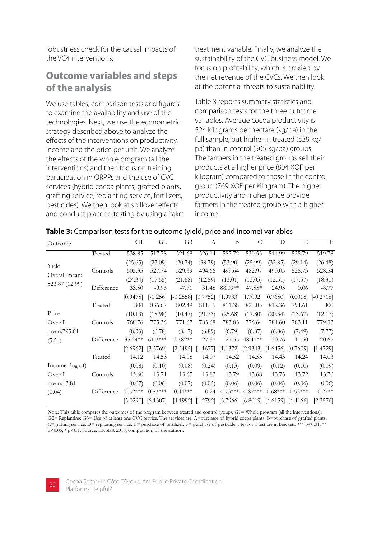robustness check for the causal impacts of the VC4 interventions.

### **Outcome variables and steps of the analysis**

We use tables, comparison tests and figures to examine the availability and use of the technologies. Next, we use the econometric strategy described above to analyze the effects of the interventions on productivity, income and the price per unit. We analyze the effects of the whole program (all the interventions) and then focus on training, participation in ORPPs and the use of CVC services (hybrid cocoa plants, grafted plants, grafting service, replanting service, fertilizers, pesticides). We then look at spillover effects and conduct placebo testing by using a 'fake' treatment variable. Finally, we analyze the sustainability of the CVC business model. We focus on profitability, which is proxied by the net revenue of the CVCs. We then look at the potential threats to sustainability.

Table 3 reports summary statistics and comparison tests for the three outcome variables. Average cocoa productivity is 524 kilograms per hectare (kg/pa) in the full sample, but higher in treated (539 kg/ pa) than in control (505 kg/pa) groups. The farmers in the treated groups sell their products at a higher price (804 XOF per kilogram) compared to those in the control group (769 XOF per kilogram). The higher productivity and higher price provide farmers in the treated group with a higher income.

| Outcome                         |            | G <sub>1</sub>          | G <sub>2</sub>        | G <sub>3</sub>         | A                     | B                                           | $\mathsf{C}$         | D                                                    | E                   | F                      |
|---------------------------------|------------|-------------------------|-----------------------|------------------------|-----------------------|---------------------------------------------|----------------------|------------------------------------------------------|---------------------|------------------------|
|                                 | Treated    | 538.85                  | 517.78                | 521.68                 | 526.14                | 587.72                                      | 530.53               | 514.99                                               | 525.79              | 519.78                 |
| Yield                           | Controls   | (25.65)<br>505.35       | (27.09)<br>527.74     | (20.74)<br>529.39      | (38.79)<br>494.66     | (53.90)<br>499.64                           | (25.99)<br>482.97    | (32.85)<br>490.05                                    | (29.14)<br>525.73   | (26.48)<br>528.54      |
| Overall mean:<br>523.87 (12.99) |            | (24.34)                 | (17.55)               | (21.68)                | (12.59)               | (13.01)                                     | (13.05)              | (12.51)                                              | (17.57)             | (18.30)                |
|                                 | Difference | 33.50<br>[0.9475]       | $-9.96$<br>$[-0.256]$ | $-7.71$<br>$[-0.2558]$ | 31.48<br>[0.7752]     | 88.09**<br>[1.9733]                         | $47.55*$<br>[1.7092] | 24.95<br>[0.7650]                                    | 0.06<br>[0.0018]    | $-8.77$<br>$[-0.2716]$ |
|                                 | Treated    | 804                     | 836.67                | 802.49                 | 811.05                | 811.38                                      | 825.05               | 812.36                                               | 794.61              | 800                    |
| Price<br>Overall                | Controls   | (10.13)<br>768.76       | (18.98)<br>775.36     | (10.47)<br>771.67      | (21.73)<br>783.68     | (25.68)<br>783.83                           | (17.80)<br>776.64    | (20.34)<br>781.60                                    | (13.67)<br>783.11   | (12.17)<br>779.33      |
| mean: 795.61                    |            | (8.33)                  | (6.78)                | (8.17)                 | (6.89)                | (6.79)                                      | (6.87)               | (6.86)                                               | (7.49)              | (7.77)                 |
| (5.54)                          | Difference | $35.24**$<br>$[2.6962]$ | $61.3***$<br>[3.5769] | 30.82**<br>[2.3495]    | 27.37<br>[1.1677]     | 27.55                                       | 48.41**              | 30.76<br>$[1.1372]$ $[2.9343]$ $[1.6456]$ $[0.7609]$ | 11.50               | 20.67<br>[1.4729]      |
|                                 | Treated    | 14.12                   | 14.53                 | 14.08                  | 14.07                 | 14.52                                       | 14.55                | 14.43                                                | 14.24               | 14.03                  |
| Income (log of)                 |            | (0.08)                  | (0.10)                | (0.08)                 | (0.24)                | (0.13)                                      | (0.09)               | (0.12)                                               | (0.10)              | (0.09)                 |
| Overall                         | Controls   | 13.60                   | 13.71                 | 13.65                  | 13.83                 | 13.79                                       | 13.68                | 13.75                                                | 13.72               | 13.76                  |
| mean:13.81<br>(0.04)            | Difference | (0.07)<br>$0.52***$     | (0.06)<br>$0.83***$   | (0.07)<br>$0.44***$    | (0.05)<br>0.24        | (0.06)<br>$0.73***$                         | (0.06)<br>$0.87***$  | (0.06)<br>$0.68***$                                  | (0.06)<br>$0.53***$ | (0.06)<br>$0.27**$     |
|                                 |            | [5.0290]                | [6.1307]              |                        | $[4.1992]$ $[1.2792]$ | $[3.7966]$ $[6.8019]$ $[4.6159]$ $[4.4166]$ |                      |                                                      |                     | [2.3576]               |

#### **Table 3:** Comparison tests for the outcome (yield, price and income) variables

Note: This table compares the outcomes of the program between treated and control groups. G1= Whole program (all the interventions); G2= Replanting; G3= Use of at least one CVC service. The services are: A=purchase of hybrid cocoa plants; B=purchase of grafted plants; C=grafting service; D= replanting service; E= purchase of fertilizer; F= purchase of pesticide. t-test or z-test are in brackets. \*\*\* p<0.01, \*\*  $p<0.05$ , \*  $p<0.1$ . Source: ENSEA 2018, computation of the authors.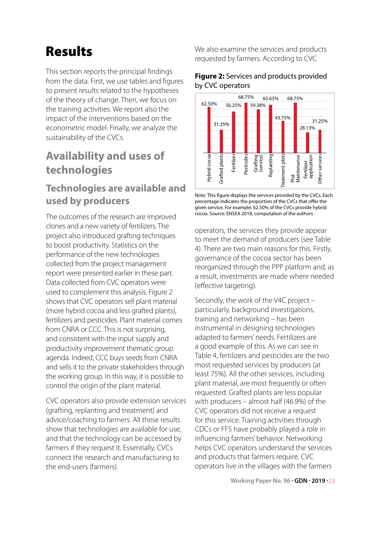## Results

This section reports the principal findings from the data. First, we use tables and figures to present results related to the hypotheses of the theory of change. Then, we focus on the training activities. We report also the impact of the interventions based on the econometric model. Finally, we analyze the sustainability of the CVCs.

### **Availability and uses of technologies**

### **Technologies are available and used by producers**

The outcomes of the research are improved clones and a new variety of fertilizers. The project also introduced grafting techniques to boost productivity. Statistics on the performance of the new technologies collected from the project management report were presented earlier in these part. Data collected from CVC operators were used to complement this analysis. Figure 2 shows that CVC operators sell plant material (more hybrid cocoa and less grafted plants), fertilizers and pesticides. Plant material comes from CNRA or CCC. This is not surprising, and consistent with the input supply and productivity improvement thematic group agenda. Indeed, CCC buys seeds from CNRA and sells it to the private stakeholders through the working group. In this way, it is possible to control the origin of the plant material.

CVC operators also provide extension services (grafting, replanting and treatment) and advice/coaching to farmers. All these results show that technologies are available for use, and that the technology can be accessed by farmers if they request it. Essentially, CVCs connect the research and manufacturing to the end-users (farmers).

We also examine the services and products requested by farmers. According to CVC

#### **Figure 2:** Services and products provided by CVC operators



Note: This figure displays the services provided by the CVCs. Each percentage indicates the proportion of the CVCs that offer the given service. For example, 62.50% of the CVCs provide hybrid cocoa. Source: ENSEA 2018, computation of the authors.

operators, the services they provide appear to meet the demand of producers (see Table 4). There are two main reasons for this. Firstly, governance of the cocoa sector has been reorganized through the PPP platform and, as a result, investments are made where needed (effective targeting).

Secondly, the work of the V4C project – particularly, background investigations, training and networking – has been instrumental in designing technologies adapted to farmers' needs. Fertilizers are a good example of this. As we can see in Table 4, fertilizers and pesticides are the two most requested services by producers (at least 75%). All the other services, including plant material, are most frequently or often requested. Grafted plants are less popular with producers – almost half (46.9%) of the CVC operators did not receive a request for this service. Training activities through CDCs or FFS have probably played a role in influencing farmers' behavior. Networking helps CVC operators understand the services and products that farmers require. CVC Both and the villages with the villages with the cocoacid and the strategy and the villages with the villages with the villages with the villages with the villages with the villages with the villages with the villages wit

**Working Paper No. 96 . GDN . 2019 .** 23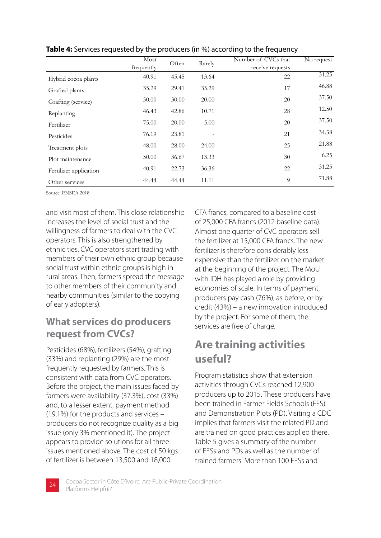|                        | Most       | Often | Rarely | Number of CVCs that | No request |
|------------------------|------------|-------|--------|---------------------|------------|
|                        | frequently |       |        | receive requests    |            |
| Hybrid cocoa plants    | 40.91      | 45.45 | 13.64  | 22                  | 31.25      |
| Grafted plants         | 35.29      | 29.41 | 35.29  | 17                  | 46.88      |
| Grafting (service)     | 50.00      | 30.00 | 20.00  | 20                  | 37.50      |
| Replanting             | 46.43      | 42.86 | 10.71  | 28                  | 12.50      |
| Fertilizer             | 75.00      | 20.00 | 5.00   | 20                  | 37.50      |
| Pesticides             | 76.19      | 23.81 |        | 21                  | 34.38      |
| Treatment plots        | 48.00      | 28.00 | 24.00  | 25                  | 21.88      |
| Plot maintenance       | 50.00      | 36.67 | 13.33  | 30                  | 6.25       |
| Fertilizer application | 40.91      | 22.73 | 36.36  | 22                  | 31.25      |
| Other services         | 44.44      | 44.44 | 11.11  | 9                   | 71.88      |

**Table 4:** Services requested by the producers (in %) according to the frequency

Source: ENSEA 2018

and visit most of them. This close relationship increases the level of social trust and the willingness of farmers to deal with the CVC operators. This is also strengthened by ethnic ties. CVC operators start trading with members of their own ethnic group because social trust within ethnic groups is high in rural areas. Then, farmers spread the message to other members of their community and nearby communities (similar to the copying of early adopters).

### **What services do producers request from CVCs?**

Pesticides (68%), fertilizers (54%), grafting (33%) and replanting (29%) are the most frequently requested by farmers. This is consistent with data from CVC operators. Before the project, the main issues faced by farmers were availability (37.3%), cost (33%) and, to a lesser extent, payment method (19.1%) for the products and services – producers do not recognize quality as a big issue (only 3% mentioned it). The project appears to provide solutions for all three issues mentioned above. The cost of 50 kgs of fertilizer is between 13,500 and 18,000

CFA francs, compared to a baseline cost of 25,000 CFA francs (2012 baseline data). Almost one quarter of CVC operators sell the fertilizer at 15,000 CFA francs. The new fertilizer is therefore considerably less expensive than the fertilizer on the market at the beginning of the project. The MoU with IDH has played a role by providing economies of scale. In terms of payment, producers pay cash (76%), as before, or by credit (43%) – a new innovation introduced by the project. For some of them, the services are free of charge.

### **Are training activities useful?**

Program statistics show that extension activities through CVCs reached 12,900 producers up to 2015. These producers have been trained in Farmer Fields Schools (FFS) and Demonstration Plots (PD). Visiting a CDC implies that farmers visit the related PD and are trained on good practices applied there. Table 5 gives a summary of the number of FFSs and PDs as well as the number of trained farmers. More than 100 FFSs and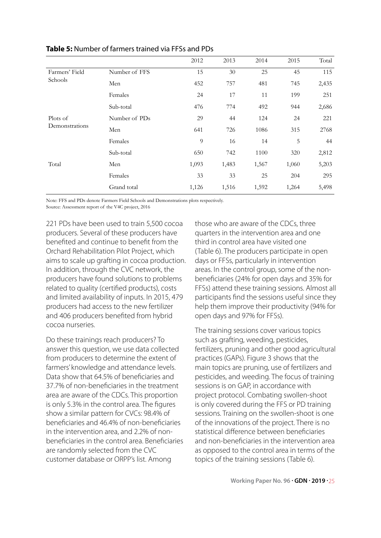|                            |               | 2012           | 2013  | 2014  | 2015  | Total |
|----------------------------|---------------|----------------|-------|-------|-------|-------|
| Farmers' Field             | Number of FFS | 15             | 30    | 25    | 45    | 115   |
| Schools                    | Men           | 452            | 757   | 481   | 745   | 2,435 |
|                            | Females       | 24             | 17    | 11    | 199   | 251   |
|                            | Sub-total     | 476            | 774   | 492   | 944   | 2,686 |
| Plots of<br>Demonstrations | Number of PDs | 29             | 44    | 124   | 24    | 221   |
|                            | Men           | 641            | 726   | 1086  | 315   | 2768  |
|                            | Females       | $\overline{9}$ | 16    | 14    | 5     | 44    |
|                            | Sub-total     | 650            | 742   | 1100  | 320   | 2,812 |
| Total                      | Men           | 1,093          | 1,483 | 1,567 | 1,060 | 5,203 |
|                            | Females       | 33             | 33    | 25    | 204   | 295   |
|                            | Grand total   | 1,126          | 1,516 | 1,592 | 1,264 | 5,498 |

#### **Table 5:** Number of farmers trained via FFSs and PDs

Note: FFS and PDs denote Farmers Field Schools and Demonstrations plots respectively.

Source: Assessment report of the V4C project, 2016

221 PDs have been used to train 5,500 cocoa producers. Several of these producers have benefited and continue to benefit from the Orchard Rehabilitation Pilot Project, which aims to scale up grafting in cocoa production. In addition, through the CVC network, the producers have found solutions to problems related to quality (certified products), costs and limited availability of inputs. In 2015, 479 producers had access to the new fertilizer and 406 producers benefited from hybrid cocoa nurseries.

Do these trainings reach producers? To answer this question, we use data collected from producers to determine the extent of farmers' knowledge and attendance levels. Data show that 64.5% of beneficiaries and 37.7% of non-beneficiaries in the treatment area are aware of the CDCs. This proportion is only 5.3% in the control area. The figures show a similar pattern for CVCs: 98.4% of beneficiaries and 46.4% of non-beneficiaries in the intervention area, and 2.2% of nonbeneficiaries in the control area. Beneficiaries are randomly selected from the CVC customer database or ORPP's list. Among

those who are aware of the CDCs, three quarters in the intervention area and one third in control area have visited one (Table 6). The producers participate in open days or FFSs, particularly in intervention areas. In the control group, some of the nonbeneficiaries (24% for open days and 35% for FFSs) attend these training sessions. Almost all participants find the sessions useful since they help them improve their productivity (94% for open days and 97% for FFSs).

The training sessions cover various topics such as grafting, weeding, pesticides, fertilizers, pruning and other good agricultural practices (GAPs). Figure 3 shows that the main topics are pruning, use of fertilizers and pesticides, and weeding. The focus of training sessions is on GAP, in accordance with project protocol. Combating swollen-shoot is only covered during the FFS or PD training sessions. Training on the swollen-shoot is one of the innovations of the project. There is no statistical difference between beneficiaries and non-beneficiaries in the intervention area as opposed to the control area in terms of the topics of the training sessions (Table 6).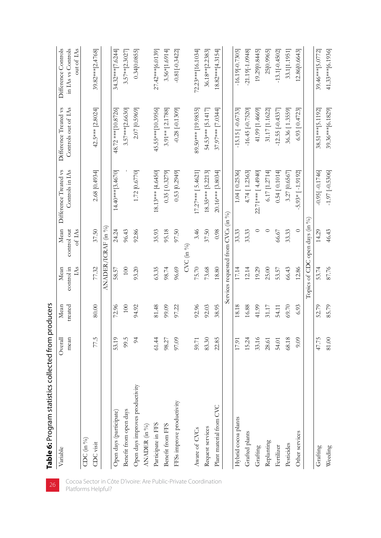| Table 6: Program statistics collected from p |           | roducers |                                     |                       |                       |                       |                                  |
|----------------------------------------------|-----------|----------|-------------------------------------|-----------------------|-----------------------|-----------------------|----------------------------------|
| Variable                                     | Overall   | Mean     | Mean                                | Mean                  | Difference Treated vs | Difference Treated vs | Difference Controls              |
|                                              | mean      | treated  | $\mathbb{A}$ s<br>control in        | of LAs<br>control out | Controls in IAs       | Controls out of IAs   | out of IAs<br>in IAs vs Controls |
| $CDC$ (in %)                                 |           |          |                                     |                       |                       |                       |                                  |
| CDC visit                                    | 77.5      | 80.00    | 77.32                               | 37.50                 | 2.68 [0.4934]         | 42.5*** [2.8024]      | 39.82*** [2.4768]                |
|                                              |           |          |                                     | ANADER/ICRAF (in %)   |                       |                       |                                  |
| Open days (participate)                      | 53.19     | 72.96    | 58.57                               | 24.24                 | 14.40***[3.4670]      | 48.72 *** [10.8726]   | 34.32***[7.6244]                 |
| Benefit from open days                       | 99.5      | $100\,$  | 100                                 | 96.43                 |                       | 3.57*** [2.6630]      | $3.57***$ [2.3027                |
| Open days improves productivity              | $\approx$ | 94.92    | 93.20                               | 92.86                 | 1.72 [0.6770]         | 2.07 [0.5969]         | 0.34[0.0855]                     |
| ANADER (in %)                                |           |          |                                     |                       |                       |                       |                                  |
| Participate in FFS                           | 61.44     | 81.48    | 63.35                               | 35.93                 | 18.13*** [4.6450]     | 45.55*** [10.3956]    | 27.42*** [6.0139]                |
| Benefit from FFS                             | 98.27     | 99.09    | 98.74                               | 95.18                 | 0.35 [0.3279]         | $3.91**$ [2.1788]     | $3.56*[1.6914]$                  |
| FFSs improve productivity                    | 97.09     | 97.22    | 96.69                               | 97.50                 | $0.53$ [0.2949]       | $-0.28[-0.1309]$      | $-0.81[-0.3422]$                 |
|                                              |           |          |                                     | $\text{CVC}$ (in %)   |                       |                       |                                  |
| Aware of CVCs                                | 59.71     | 92.96    | 75.70                               | 3.46                  | $17.27***$ [5.4621]   | 89.50*** [19.9835]    | 72.23***[16.1034]                |
| Request services                             | 83.30     | 92.03    | 73.68                               | 37.50                 | 18.35*** [5.2213]     | 54.53*** [5.1417]     | 36.18** [2.2383]                 |
| Plant material from CVC                      | 22.85     | 38.95    | 18.80                               | 0.98                  | $20.16***$ [3.8034]   | 37.97*** [7.0344]     | 18.82*** [4.3154]                |
|                                              |           |          | Services requested from CVCs (in %) |                       |                       |                       |                                  |
| Hybrid cocoa plants                          | 17.91     | 18.18    | 17.14                               | 33.33                 | 1.04 [0.2536]         | $-15.15[-0.6733]$     | $-16.19[-0.7305]$                |
| Grafted plants                               | 15.24     | 16.88    | 12.14                               | 33.33                 | 4.74 [1.2363]         | $-16.45[-0.7520]$     | $-21.19[-1.0948]$                |
| Grafting                                     | 33.16     | 41.99    | 19.29                               | 0                     | 22.71*** [4.4940]     | 41.99 [1.4669]        | 19.29 [0.8445]                   |
| Replanting                                   | 28.61     | 31.17    | 25.00                               |                       | 6.17 [1.2714]         | 31.17 [1.1622]        | 25[0.9965]                       |
| Fertilizer                                   | 54.01     | 54.11    | 53.57                               | 66.67                 | 0.54 [0.1014]         | $-12.55[-0.4337]$     | $-13.1[-0.4502]$                 |
| Pesticides                                   | 68.18     | 69.70    | 66.43                               | 33.33                 | 3.27 [0.6567]         | 36.36 [1.3559]        | 33.1[1.1951]                     |
| Other services                               | 9.09      | 6.93     | 12.86                               | $\circ$               | $5.93*$ [-1.9192]     | $6.93$ [ $0.4723$ ]   | 12.86 [0.6643]                   |
|                                              |           |          | Topics of CDC open days $(in\%)$    |                       |                       |                       |                                  |
| Grafting                                     | 47.75     | 52.79    | 53.74                               | 14.29                 | $-0.95[-0.1746]$      | 38.51*** [5.1192]     | 39.46*** [5.0772]                |
| Weeding                                      | 81.00     | 85.79    | 87.76                               | 46.43                 | $-1.97$ $[-0.5306]$   | 39.36***[6.1829]      | 41.33***[6.1936]                 |
|                                              |           |          |                                     |                       |                       |                       |                                  |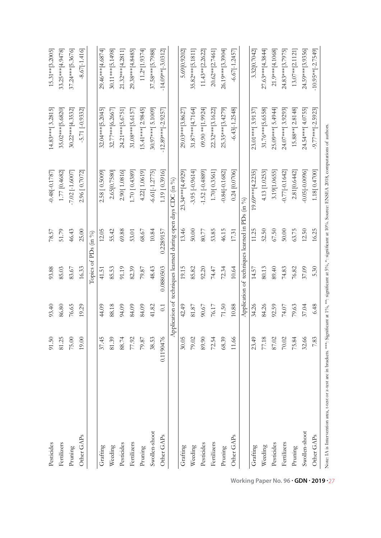| Pesticides                                                                                                                                                                          | 91.50     | 93.40 | 93.88                                           | 78.57     | $-0.48[-0.1787]$                                              | 14.83***[3.2815]      | $15.31**$ [3.2005]      |
|-------------------------------------------------------------------------------------------------------------------------------------------------------------------------------------|-----------|-------|-------------------------------------------------|-----------|---------------------------------------------------------------|-----------------------|-------------------------|
| Fertilizers                                                                                                                                                                         | 81.25     | 86.80 | 85.03                                           | 51.79     | 1.77 [0.4682]                                                 | 35.02*** [5.6820]     | 33.25*** [4.9478]       |
| Pruning                                                                                                                                                                             | 75.00     | 76.65 | 83.67                                           | 46.43     | $-7.02$ $[-1.6007]$                                           | 30.22*** [4.3532]     | 37.24*** [5.3676]       |
| Other GAPs                                                                                                                                                                          | 19.00     | 19.29 | 16.33                                           | 25.00     | 2.96 [0.7072]                                                 | $-5.71[-0.9332]$      | $-8.67[-1.416]$         |
|                                                                                                                                                                                     |           |       | Topics of PDs                                   | (in %)    |                                                               |                       |                         |
| Grafting                                                                                                                                                                            | 37.45     | 44.09 | 41.51                                           | 12.05     | 2.58 [0.5009]                                                 | 32.04*** [5.2045]     | 29.46*** [4.6874]       |
| Weeding                                                                                                                                                                             | 81.39     | 88.18 | 85.53                                           | 55.42     | 2.65[0.7580]                                                  | 32.77*** [6.2667      | 30.11*** [5.1498]       |
| Pesticides                                                                                                                                                                          | 88.74     | 94.09 | 91.19                                           | 69.88     | 2.90[1.0816]                                                  | 24.21*** [5.6751]     | 21.32*** [4.2811]       |
| Fertilizers                                                                                                                                                                         | 77.92     | 84.09 | 82.39                                           | 53.01     | 1.70   0.4389                                                 | 31.08*** [5.6157]     | 29.38*** [4.8485]       |
| Pruning                                                                                                                                                                             | $79.87$   | 84.09 | 79.87                                           | 68.67     | 4.22[1.0619]                                                  | 15.41*** [2.9845]     | $11.2*[1.9374]$         |
| Swollen-shoot                                                                                                                                                                       | 38.53     | 41.82 | 48.43                                           | 10.84     | $-6.61[-1.2775]$                                              | 30.97*** [5.1009]     | 37.58*** [5.7988]       |
| Other GAPs                                                                                                                                                                          | 0.1190476 | 0.1   | 0.0880503                                       | 0.2289157 | 1.19 [0.3916]                                                 | $-12.89***$ [-2.9257] | $-14.09**$ $[-3.0312]$  |
|                                                                                                                                                                                     |           |       |                                                 |           | Application of techniques learned during open days CDC (in %) |                       |                         |
| Grafting                                                                                                                                                                            | 30.05     | 42.49 | 19.15                                           | 13.46     | 23.34** $[4.4929]$                                            | 29.03***[3.8627]      | 5.69 [0.9202]           |
| Weeding                                                                                                                                                                             | 79.02     | 81.87 | 85.82                                           | 50.00     | $-3.95[-0.9614]$                                              | $31.87***$ [4.7164]   | 35.82*** [5.1811]       |
| Pesticides                                                                                                                                                                          | 89.90     | 90.67 | 92.20                                           | 80.77     | $-1.52[-0.4889]$                                              | 09.90 ** [1.9924]     | 11.43** [2.2622]        |
| Fertilizers                                                                                                                                                                         | 72.54     | 76.17 | 74.47                                           | 53.85     | 1.70[0.3561]                                                  | 22.32*** [3.1622]     | 20.62** [2.7461]        |
| Pruning                                                                                                                                                                             | 68.39     | 71.50 | 72.34                                           | 46.15     | $-0.84[-0.1682]$                                              | 25.35***[3.4279]      | 26.19***[3.3904]        |
| Other GAPs                                                                                                                                                                          | 11.66     | 10.88 | 10.64                                           | 17.31     | $0.24$ [0.0706]                                               | $-6.43[-1.2548]$      | $-6.67[-1.2457]$        |
|                                                                                                                                                                                     |           |       | Application of techniques learned in PDs (in %) |           |                                                               |                       |                         |
| Grafting                                                                                                                                                                            | 23.49     | 34.26 | 14.57                                           | 11.25     | $19.69***$ [4.2235]                                           | 23.01*** [3.9137]     | 3.32[0.7042]            |
| Weeding                                                                                                                                                                             | 77.18     | 84.26 | 80.13                                           | 52.50     | 4.13 [1.0253]                                                 | 31.76*** [5.6558]     | 27.63***[4.3844]        |
| Pesticides                                                                                                                                                                          | 87.02     | 92.59 | 89.40                                           | 67.50     | 3.19[1.0655]                                                  | 25.09*** [5.4944]     | 21.9*** [4.1068]        |
| Fertilizers                                                                                                                                                                         | 70.02     | 74.07 | 74.83                                           | 50.00     | $-0.77[-0.1642]$                                              | 24.07*** [3.9293]     | 24.83*** [3.7975]       |
| Pruning                                                                                                                                                                             | 75.84     | 79.63 | 76.82                                           | 63.75     | 2.81[0.6442]                                                  | $15.88**$ [ 2.8148]   | 13.07** [2.1121]        |
| Swollen-shoot                                                                                                                                                                       | 32.66     | 37.04 | 37.09                                           | 12.50     | $-0.05[-0.0096]$                                              | 24.54*** [4.0755]     | 24.59*** [3.9356]       |
| Other GAPs                                                                                                                                                                          | 7.83      | 6.48  | 5.30                                            | 16.25     | 1.18 [ 0.4700]                                                | $-9.77***$ [-2.5923]  | $-10.95***$ $[-2.7549]$ |
| Note: IA is Intervention area, t-test or z-test are in brackets. ***: Significant at 1%, **: significant at 1%, *: significant at 10%. Source: ENSEA 2018, computations of authors. |           |       |                                                 |           |                                                               |                       |                         |

**Working Paper No. 96 · GDN · 2019 · 27**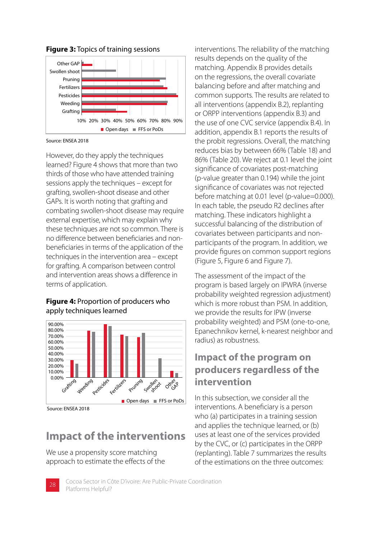

**Figure 3:** Topics of training sessions

Source: ENSEA 2018

However, do they apply the techniques learned? Figure 4 shows that more than two thirds of those who have attended training sessions apply the techniques – except for grafting, swollen-shoot disease and other GAPs. It is worth noting that grafting and combating swollen-shoot disease may require external expertise, which may explain why these techniques are not so common. There is no difference between beneficiaries and nonbeneficiaries in terms of the application of the techniques in the intervention area – except for grafting. A comparison between control and intervention areas shows a difference in terms of application.

#### **Figure 4:** Proportion of producers who apply techniques learned



Source: ENSEA 2018

### **Impact of the interventions**

We use a propensity score matching approach to estimate the effects of the interventions. The reliability of the matching results depends on the quality of the matching. Appendix B provides details on the regressions, the overall covariate balancing before and after matching and common supports. The results are related to all interventions (appendix B.2), replanting or ORPP interventions (appendix B.3) and the use of one CVC service (appendix B.4). In addition, appendix B.1 reports the results of the probit regressions. Overall, the matching reduces bias by between 66% (Table 18) and 86% (Table 20). We reject at 0.1 level the joint significance of covariates post-matching (p-value greater than 0.194) while the joint significance of covariates was not rejected before matching at 0.01 level (p-value=0.000). In each table, the pseudo R2 declines after matching. These indicators highlight a successful balancing of the distribution of covariates between participants and nonparticipants of the program. In addition, we provide figures on common support regions (Figure 5, Figure 6 and Figure 7).

The assessment of the impact of the program is based largely on IPWRA (inverse probability weighted regression adjustment) which is more robust than PSM. In addition, we provide the results for IPW (inverse probability weighted) and PSM (one-to-one, Epanechnikov kernel, k-nearest neighbor and radius) as robustness.

### **Impact of the program on producers regardless of the intervention**

In this subsection, we consider all the interventions. A beneficiary is a person who (a) participates in a training session and applies the technique learned, or (b) uses at least one of the services provided by the CVC, or (c) participates in the ORPP (replanting). Table 7 summarizes the results of the estimations on the three outcomes:

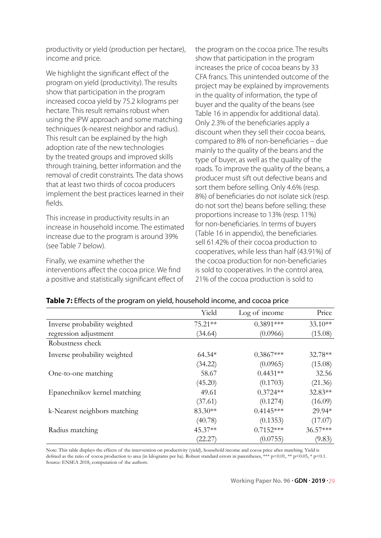productivity or yield (production per hectare), income and price.

We highlight the significant effect of the program on yield (productivity). The results show that participation in the program increased cocoa yield by 75.2 kilograms per hectare. This result remains robust when using the IPW approach and some matching techniques (k-nearest neighbor and radius). This result can be explained by the high adoption rate of the new technologies by the treated groups and improved skills through training, better information and the removal of credit constraints. The data shows that at least two thirds of cocoa producers implement the best practices learned in their fields.

This increase in productivity results in an increase in household income. The estimated increase due to the program is around 39% (see Table 7 below).

Finally, we examine whether the interventions affect the cocoa price. We find a positive and statistically significant effect of the program on the cocoa price. The results show that participation in the program increases the price of cocoa beans by 33 CFA francs. This unintended outcome of the project may be explained by improvements in the quality of information, the type of buyer and the quality of the beans (see Table 16 in appendix for additional data). Only 2.3% of the beneficiaries apply a discount when they sell their cocoa beans, compared to 8% of non-beneficiaries – due mainly to the quality of the beans and the type of buyer, as well as the quality of the roads. To improve the quality of the beans, a producer must sift out defective beans and sort them before selling. Only 4.6% (resp. 8%) of beneficiaries do not isolate sick (resp. do not sort the) beans before selling; these proportions increase to 13% (resp. 11%) for non-beneficiaries. In terms of buyers (Table 16 in appendix), the beneficiaries sell 61.42% of their cocoa production to cooperatives, while less than half (43.91%) of the cocoa production for non-beneficiaries is sold to cooperatives. In the control area, 21% of the cocoa production is sold to

|                              | Yield     | Log of income | Price     |
|------------------------------|-----------|---------------|-----------|
| Inverse probability weighted | $75.21**$ | $0.3891***$   | $33.10**$ |
| regression adjustment        | (34.64)   | (0.0966)      | (15.08)   |
| Robustness check             |           |               |           |
| Inverse probability weighted | $64.34*$  | $0.3867***$   | 32.78**   |
|                              | (34.22)   | (0.0965)      | (15.08)   |
| One-to-one matching          | 58.67     | $0.4431**$    | 32.56     |
|                              | (45.20)   | (0.1703)      | (21.36)   |
| Epanechnikov kernel matching | 49.61     | $0.3724**$    | 32.83**   |
|                              | (37.61)   | (0.1274)      | (16.09)   |
| k-Nearest neighbors matching | 83.30**   | $0.4145***$   | 29.94*    |
|                              | (40.78)   | (0.1353)      | (17.07)   |
| Radius matching              | 45.37**   | $0.7152***$   | 36.57***  |
|                              | (22.27)   | (0.0755)      | (9.83)    |

#### **Table 7:** Effects of the program on yield, household income, and cocoa price

Note: This table displays the effects of the intervention on productivity (yield), household income and cocoa price after matching. Yield is defined as the ratio of cocoa production to area (in kilograms per ha). Robust standard errors in parentheses, \*\*\* p<0.01, \*\* p<0.05, \* p<0.1. Source: ENSEA 2018, computation of the authors.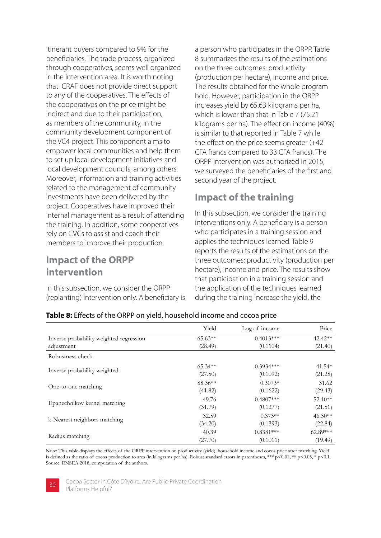itinerant buyers compared to 9% for the beneficiaries. The trade process, organized through cooperatives, seems well organized in the intervention area. It is worth noting that ICRAF does not provide direct support to any of the cooperatives. The effects of the cooperatives on the price might be indirect and due to their participation, as members of the community, in the community development component of the VC4 project. This component aims to empower local communities and help them to set up local development initiatives and local development councils, among others. Moreover, information and training activities related to the management of community investments have been delivered by the project. Cooperatives have improved their internal management as a result of attending the training. In addition, some cooperatives rely on CVCs to assist and coach their members to improve their production.

### **Impact of the ORPP intervention**

In this subsection, we consider the ORPP (replanting) intervention only. A beneficiary is a person who participates in the ORPP. Table 8 summarizes the results of the estimations on the three outcomes: productivity (production per hectare), income and price. The results obtained for the whole program hold. However, participation in the ORPP increases yield by 65.63 kilograms per ha, which is lower than that in Table 7 (75.21 kilograms per ha). The effect on income (40%) is similar to that reported in Table 7 while the effect on the price seems greater (+42 CFA francs compared to 33 CFA francs). The ORPP intervention was authorized in 2015; we surveyed the beneficiaries of the first and second year of the project.

### **Impact of the training**

In this subsection, we consider the training interventions only. A beneficiary is a person who participates in a training session and applies the techniques learned. Table 9 reports the results of the estimations on the three outcomes: productivity (production per hectare), income and price. The results show that participation in a training session and the application of the techniques learned during the training increase the yield, the

|                                         | Yield     | Log of income | Price      |
|-----------------------------------------|-----------|---------------|------------|
| Inverse probability weighted regression | $65.63**$ | $0.4013***$   | 42.42**    |
| adjustment                              | (28.49)   | (0.1104)      | (21.40)    |
| Robustness check                        |           |               |            |
|                                         | $65.34**$ | $0.3934***$   | 41.54*     |
| Inverse probability weighted            | (27.50)   | (0.1092)      | (21.28)    |
| One-to-one matching                     | 88.36**   | $0.3073*$     | 31.62      |
|                                         | (41.82)   | (0.1622)      | (29.43)    |
| Epanechnikov kernel matching            | 49.76     | $0.4807***$   | $52.10**$  |
|                                         | (31.79)   | (0.1277)      | (21.51)    |
|                                         | 32.59     | $0.373**$     | $46.30**$  |
| k-Nearest neighbors matching            | (34.20)   | (0.1393)      | (22.84)    |
|                                         | 40.39     | $0.8381***$   | $62.89***$ |
| Radius matching                         | (27.70)   | (0.1011)      | (19.49)    |

#### **Table 8:** Effects of the ORPP on yield, household income and cocoa price

Note: This table displays the effects of the ORPP intervention on productivity (yield), household income and cocoa price after matching. Yield is defined as the ratio of cocoa production to area (in kilograms per ha). Robust standard errors in parentheses, \*\*\* p<0.01, \*\* p<0.05, \* p<0.1. Source: ENSEA 2018, computation of the authors.



Cocoa Sector in Côte D'ivoire: Are Public-Private Coordination **30** Platforms Helpful?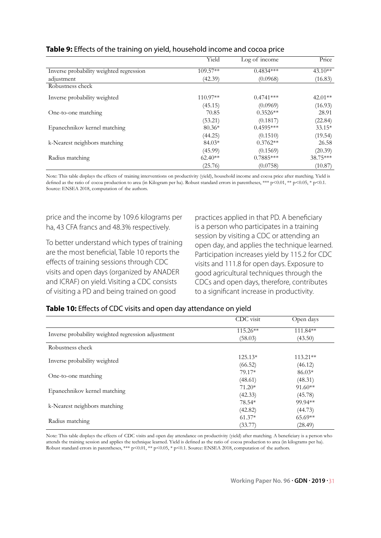|                                         | Yield     | Log of income | Price     |
|-----------------------------------------|-----------|---------------|-----------|
| Inverse probability weighted regression | 109.57**  | $0.4834***$   | $43.10**$ |
| adjustment                              | (42.39)   | (0.0968)      | (16.83)   |
| Robustness check                        |           |               |           |
| Inverse probability weighted            | 110.97**  | $0.4741***$   | $42.01**$ |
|                                         | (45.15)   | (0.0969)      | (16.93)   |
| One-to-one matching                     | 70.85     | $0.3526**$    | 28.91     |
|                                         | (53.21)   | (0.1817)      | (22.84)   |
| Epanechnikov kernel matching            | $80.36*$  | $0.4595***$   | $33.15*$  |
|                                         | (44.25)   | (0.1510)      | (19.54)   |
| k-Nearest neighbors matching            | $84.03*$  | $0.3762**$    | 26.58     |
|                                         | (45.99)   | (0.1569)      | (20.39)   |
| Radius matching                         | $62.40**$ | $0.7885***$   | 38.75***  |
|                                         | (25.76)   | (0.0758)      | (10.87)   |

#### **Table 9:** Effects of the training on yield, household income and cocoa price

Note: This table displays the effects of training interventions on productivity (yield), household income and cocoa price after matching. Yield is defined as the ratio of cocoa production to area (in Kilogram per ha). Robust standard errors in parentheses, \*\*\* p<0.01, \*\* p<0.05, \* p<0.1. Source: ENSEA 2018, computation of the authors.

price and the income by 109.6 kilograms per ha, 43 CFA francs and 48.3% respectively.

To better understand which types of training are the most beneficial, Table 10 reports the effects of training sessions through CDC visits and open days (organized by ANADER and ICRAF) on yield. Visiting a CDC consists of visiting a PD and being trained on good

practices applied in that PD. A beneficiary is a person who participates in a training session by visiting a CDC or attending an open day, and applies the technique learned. Participation increases yield by 115.2 for CDC visits and 111.8 for open days. Exposure to good agricultural techniques through the CDCs and open days, therefore, contributes to a significant increase in productivity.

|                                                    | CDC visit  | Open days  |
|----------------------------------------------------|------------|------------|
|                                                    | $115.26**$ | 111.84**   |
| Inverse probability weighted regression adjustment | (58.03)    | (43.50)    |
| Robustness check                                   |            |            |
|                                                    | $125.13*$  | $113.21**$ |
| Inverse probability weighted                       | (66.52)    | (46.12)    |
|                                                    | 79.17*     | $86.03*$   |
| One-to-one matching                                | (48.61)    | (48.31)    |
|                                                    | $71.20*$   | $91.60**$  |
| Epanechnikov kernel matching                       | (42.33)    | (45.78)    |
|                                                    | 78.54*     | 99.94**    |
| k-Nearest neighbors matching                       | (42.82)    | (44.73)    |
|                                                    | $61.37*$   | $65.69**$  |
| Radius matching                                    | (33.77)    | (28.49)    |

#### **Table 10:** Effects of CDC visits and open day attendance on yield

Note: This table displays the effects of CDC visits and open day attendance on productivity (yield) after matching. A beneficiary is a person who attends the training session and applies the technique learned. Yield is defined as the ratio of cocoa production to area (in kilograms per ha). Robust standard errors in parentheses, \*\*\* p<0.01, \*\* p<0.05, \* p<0.1. Source: ENSEA 2018, computation of the authors.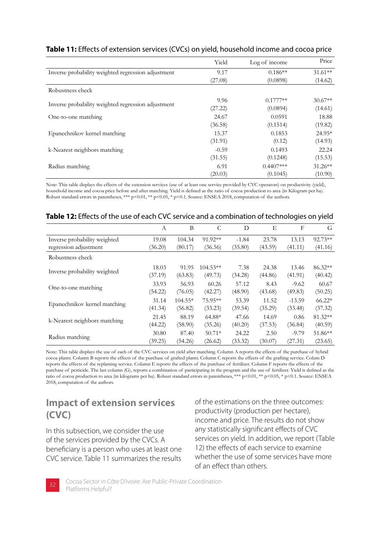|                                                    | Yield   | Log of income | Price     |
|----------------------------------------------------|---------|---------------|-----------|
| Inverse probability weighted regression adjustment | 9.17    | $0.186**$     | $31.61**$ |
|                                                    | (27.08) | (0.0898)      | (14.62)   |
| Robustness check                                   |         |               |           |
|                                                    | 9.96    | $0.1777**$    | $30.67**$ |
| Inverse probability weighted regression adjustment | (27.22) | (0.0894)      | (14.61)   |
| One-to-one matching                                | 24.67   | 0.0591        | 18.88     |
|                                                    | (36.58) | (0.1514)      | (19.82)   |
| Epanechnikov kernel matching                       | 15.37   | 0.1853        | 24.95*    |
|                                                    | (31.91) | (0.12)        | (14.93)   |
| k-Nearest neighbors matching                       | $-0.59$ | 0.1493        | 22.24     |
|                                                    | (31.55) | (0.1248)      | (15.53)   |
| Radius matching                                    | 6.91    | $0.4407***$   | $31.26**$ |
|                                                    | (20.03) | (0.1045)      | (10.90)   |

#### **Table 11:** Effects of extension services (CVCs) on yield, household income and cocoa price

Note: This table displays the effects of the extension services (use of at least one service provided by CVC operators) on productivity (yield), household income and cocoa price before and after matching. Yield is defined as the ratio of cocoa production to area (in Kilogram per ha). Robust standard errors in parentheses, \*\*\* p<0.01, \*\* p<0.05, \* p<0.1. Source: ENSEA 2018, computation of the authors.

|                              | А       | B         | C          | D       | E       | F        | G        |
|------------------------------|---------|-----------|------------|---------|---------|----------|----------|
| Inverse probability weighted | 19.08   | 104.34    | 91.92**    | $-1.84$ | 23.78   | 13.13    | 92.73**  |
| regression adjustment        | (36.20) | (80.17)   | (36.56)    | (35.80) | (43.59) | (41.11)  | (41.16)  |
| Robustness check             |         |           |            |         |         |          |          |
|                              | 18.03   | 91.95     | $104.53**$ | 7.38    | 24.38   | 13.46    | 86.32**  |
| Inverse probability weighted | (37.19) | (63.83)   | (49.73)    | (34.28) | (44.86) | (41.91)  | (40.42)  |
|                              | 33.93   | 56.93     | 60.26      | 57.12   | 8.43    | $-9.62$  | 60.67    |
| One-to-one matching          | (54.22) | (76.05)   | (42.27)    | (48.90) | (43.68) | (49.83)  | (50.25)  |
| Epanechnikov kernel matching | 31.14   | $104.55*$ | 75.95**    | 53.39   | 11.52   | $-13.59$ | $66.22*$ |
|                              | (41.34) | (56.82)   | (33.23)    | (39.54) | (35.29) | (33.48)  | (37.32)  |
|                              | 21.45   | 88.19     | $64.88*$   | 47.66   | 14.69   | 0.86     | 81.32**  |
| k-Nearest neighbors matching | (44.22) | (58.90)   | (35.26)    | (40.20) | (37.53) | (36.84)  | (40.59)  |
|                              | 30.80   | 87.40     | $50.71*$   | 24.22   | 2.50    | $-9.79$  | 51.86**  |
| Radius matching              | (39.25) | (54.26)   | (26.62)    | (33.32) | (30.07) | (27.31)  | (23.65)  |

#### **Table 12:** Effects of the use of each CVC service and a combination of technologies on yield

Note: This table displays the use of each of the CVC services on yield after matching. Column A reports the effects of the purchase of hybrid cocoa plants. Column B reports the effects of the purchase of grafted plants. Column C reports the effects of the grafting service. Colum D reports the effects of the replanting service. Column E reports the effects of the purchase of fertilizer. Column F reports the effects of the purchase of pesticide. The last column (G), reports a combination of participating in the program and the use of fertilizer. Yield is defined as the ratio of cocoa production to area (in kilograms per ha). Robust standard errors in parentheses, \*\*\* p<0.01, \*\* p<0.05, \* p<0.1. Source: ENSEA 2018, computation of the authors.

### **Impact of extension services (CVC)**

In this subsection, we consider the use of the services provided by the CVCs. A beneficiary is a person who uses at least one CVC service. Table 11 summarizes the results of the estimations on the three outcomes: productivity (production per hectare), income and price. The results do not show any statistically significant effects of CVC services on yield. In addition, we report (Table 12) the effects of each service to examine whether the use of some services have more of an effect than others.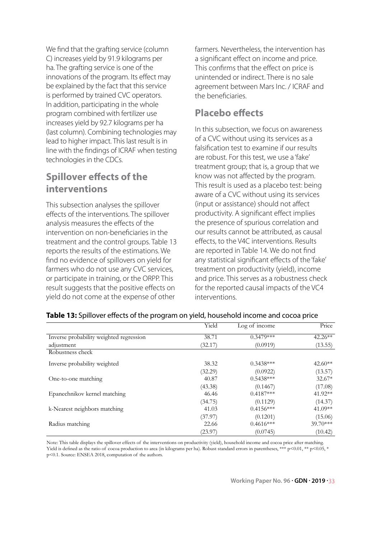We find that the grafting service (column C) increases yield by 91.9 kilograms per ha. The grafting service is one of the innovations of the program. Its effect may be explained by the fact that this service is performed by trained CVC operators. In addition, participating in the whole program combined with fertilizer use increases yield by 92.7 kilograms per ha (last column). Combining technologies may lead to higher impact. This last result is in line with the findings of ICRAF when testing technologies in the CDCs.

### **Spillover effects of the interventions**

This subsection analyses the spillover effects of the interventions. The spillover analysis measures the effects of the intervention on non-beneficiaries in the treatment and the control groups. Table 13 reports the results of the estimations. We find no evidence of spillovers on yield for farmers who do not use any CVC services, or participate in training, or the ORPP. This result suggests that the positive effects on yield do not come at the expense of other

farmers. Nevertheless, the intervention has a significant effect on income and price. This confirms that the effect on price is unintended or indirect. There is no sale agreement between Mars Inc. / ICRAF and the beneficiaries.

#### **Placebo effects**

In this subsection, we focus on awareness of a CVC without using its services as a falsification test to examine if our results are robust. For this test, we use a 'fake' treatment group; that is, a group that we know was not affected by the program. This result is used as a placebo test: being aware of a CVC without using its services (input or assistance) should not affect productivity. A significant effect implies the presence of spurious correlation and our results cannot be attributed, as causal effects, to the V4C interventions. Results are reported in Table 14. We do not find any statistical significant effects of the 'fake' treatment on productivity (yield), income and price. This serves as a robustness check for the reported causal impacts of the VC4 interventions.

|                                         | Yield   | Log of income | Price      |
|-----------------------------------------|---------|---------------|------------|
| Inverse probability weighted regression | 38.71   | $0.3479***$   | $42.26**$  |
| adjustment                              | (32.17) | (0.0919)      | (13.55)    |
| Robustness check                        |         |               |            |
| Inverse probability weighted            | 38.32   | $0.3438***$   | $42.60**$  |
|                                         | (32.29) | (0.0922)      | (13.57)    |
| One-to-one matching                     | 40.87   | $0.5438***$   | $32.67*$   |
|                                         | (43.38) | (0.1467)      | (17.08)    |
| Epanechnikov kernel matching            | 46.46   | $0.4187***$   | 41.92**    |
|                                         | (34.75) | (0.1129)      | (14.37)    |
| k-Nearest neighbors matching            | 41.03   | $0.4156***$   | $41.09**$  |
|                                         | (37.97) | (0.1201)      | (15.06)    |
| Radius matching                         | 22.66   | $0.4616***$   | $39.70***$ |
|                                         | (23.97) | (0.0745)      | (10.42)    |

#### **Table 13:** Spillover effects of the program on yield, household income and cocoa price

Note: This table displays the spillover effects of the interventions on productivity (yield), household income and cocoa price after matching. Yield is defined as the ratio of cocoa production to area (in kilograms per ha). Robust standard errors in parentheses, \*\*\* p<0.01, \*\* p<0.05, \* p<0.1. Source: ENSEA 2018, computation of the authors.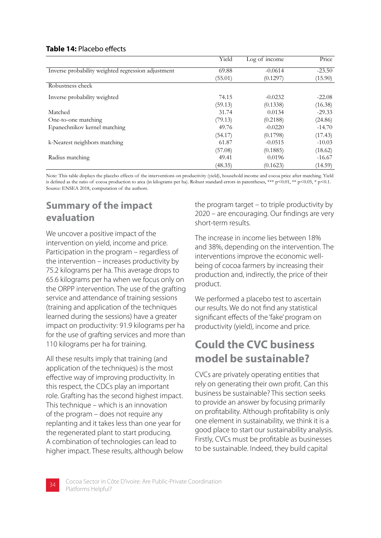#### **Table 14:** Placebo effects

|                                                    | Yield   | Log of income | Price    |
|----------------------------------------------------|---------|---------------|----------|
| Inverse probability weighted regression adjustment | 69.88   | $-0.0614$     | $-23.50$ |
|                                                    | (55.01) | (0.1297)      | (15.90)  |
| Robustness check                                   |         |               |          |
| Inverse probability weighted                       | 74.15   | $-0.0232$     | $-22.08$ |
|                                                    | (59.13) | (0.1338)      | (16.38)  |
| Matched                                            | 31.74   | 0.0134        | $-29.33$ |
| One-to-one matching                                | (79.13) | (0.2188)      | (24.86)  |
| Epanechnikov kernel matching                       | 49.76   | $-0.0220$     | $-14.70$ |
|                                                    | (54.17) | (0.1798)      | (17.43)  |
| k-Nearest neighbors matching                       | 61.87   | $-0.0515$     | $-10.03$ |
|                                                    | (57.08) | (0.1885)      | (18.62)  |
| Radius matching                                    | 49.41   | 0.0196        | $-16.67$ |
|                                                    | (48.35) | (0.1623)      | (14.59)  |

Note: This table displays the placebo effects of the interventions on productivity (yield), household income and cocoa price after matching. Yield is defined as the ratio of cocoa production to area (in kilograms per ha). Robust standard errors in parentheses, \*\*\* p<0.01, \*\* p<0.05, \* p<0.1. Source: ENSEA 2018, computation of the authors.

### **Summary of the impact evaluation**

We uncover a positive impact of the intervention on yield, income and price. Participation in the program – regardless of the intervention – increases productivity by 75.2 kilograms per ha. This average drops to 65.6 kilograms per ha when we focus only on the ORPP intervention. The use of the grafting service and attendance of training sessions (training and application of the techniques learned during the sessions) have a greater impact on productivity: 91.9 kilograms per ha for the use of grafting services and more than 110 kilograms per ha for training.

All these results imply that training (and application of the techniques) is the most effective way of improving productivity. In this respect, the CDCs play an important role. Grafting has the second highest impact. This technique – which is an innovation of the program – does not require any replanting and it takes less than one year for the regenerated plant to start producing. A combination of technologies can lead to higher impact. These results, although below the program target – to triple productivity by 2020 – are encouraging. Our findings are very short-term results.

The increase in income lies between 18% and 38%, depending on the intervention. The interventions improve the economic wellbeing of cocoa farmers by increasing their production and, indirectly, the price of their product.

We performed a placebo test to ascertain our results. We do not find any statistical significant effects of the 'fake' program on productivity (yield), income and price.

### **Could the CVC business model be sustainable?**

CVCs are privately operating entities that rely on generating their own profit. Can this business be sustainable? This section seeks to provide an answer by focusing primarily on profitability. Although profitability is only one element in sustainability, we think it is a good place to start our sustainability analysis. Firstly, CVCs must be profitable as businesses to be sustainable. Indeed, they build capital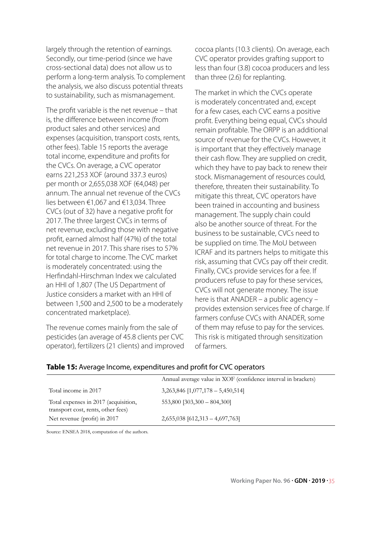largely through the retention of earnings. Secondly, our time-period (since we have cross-sectional data) does not allow us to perform a long-term analysis. To complement the analysis, we also discuss potential threats to sustainability, such as mismanagement.

The profit variable is the net revenue – that is, the difference between income (from product sales and other services) and expenses (acquisition, transport costs, rents, other fees). Table 15 reports the average total income, expenditure and profits for the CVCs. On average, a CVC operator earns 221,253 XOF (around 337.3 euros) per month or 2,655,038 XOF (€4,048) per annum. The annual net revenue of the CVCs lies between €1,067 and €13,034. Three CVCs (out of 32) have a negative profit for 2017. The three largest CVCs in terms of net revenue, excluding those with negative profit, earned almost half (47%) of the total net revenue in 2017. This share rises to 57% for total charge to income. The CVC market is moderately concentrated: using the Herfindahl-Hirschman Index we calculated an HHI of 1,807 (The US Department of Justice considers a market with an HHI of between 1,500 and 2,500 to be a moderately concentrated marketplace).

The revenue comes mainly from the sale of pesticides (an average of 45.8 clients per CVC operator), fertilizers (21 clients) and improved cocoa plants (10.3 clients). On average, each CVC operator provides grafting support to less than four (3.8) cocoa producers and less than three (2.6) for replanting.

The market in which the CVCs operate is moderately concentrated and, except for a few cases, each CVC earns a positive profit. Everything being equal, CVCs should remain profitable. The ORPP is an additional source of revenue for the CVCs. However, it is important that they effectively manage their cash flow. They are supplied on credit, which they have to pay back to renew their stock. Mismanagement of resources could, therefore, threaten their sustainability. To mitigate this threat, CVC operators have been trained in accounting and business management. The supply chain could also be another source of threat. For the business to be sustainable, CVCs need to be supplied on time. The MoU between ICRAF and its partners helps to mitigate this risk, assuming that CVCs pay off their credit. Finally, CVCs provide services for a fee. If producers refuse to pay for these services, CVCs will not generate money. The issue here is that ANADER – a public agency – provides extension services free of charge. If farmers confuse CVCs with ANADER, some of them may refuse to pay for the services. This risk is mitigated through sensitization of farmers.

|                                                                            | Annual average value in XOF (confidence interval in brackets) |
|----------------------------------------------------------------------------|---------------------------------------------------------------|
| Total income in 2017                                                       | $3,263,846$ [1,077,178 - 5,450,514]                           |
| Total expenses in 2017 (acquisition,<br>transport cost, rents, other fees) | $553,800$ [303,300 - 804,300]                                 |
| Net revenue (profit) in 2017                                               | $2,655,038$ [612,313 - 4,697,763]                             |

#### **Table 15:** Average Income, expenditures and profit for CVC operators

Source: ENSEA 2018, computation of the authors.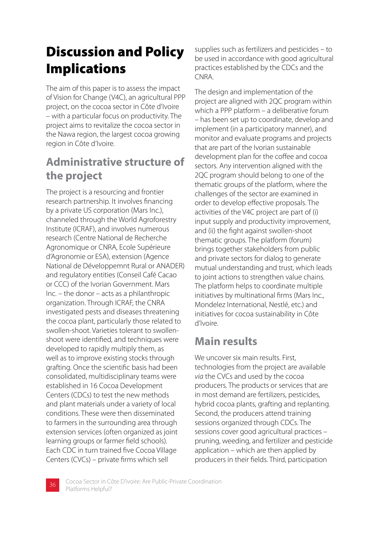## Discussion and Policy Implications

The aim of this paper is to assess the impact of Vision for Change (V4C), an agricultural PPP project, on the cocoa sector in Côte d'Ivoire – with a particular focus on productivity. The project aims to revitalize the cocoa sector in the Nawa region, the largest cocoa growing region in Côte d'Ivoire.

## **Administrative structure of the project**

The project is a resourcing and frontier research partnership. It involves financing by a private US corporation (Mars Inc.), channeled through the World Agroforestry Institute (ICRAF), and involves numerous research (Centre National de Recherche Agronomique or CNRA, Ecole Supérieure d'Agronomie or ESA), extension (Agence National de Développemnt Rural or ANADER) and regulatory entities (Conseil Café Cacao or CCC) of the Ivorian Government. Mars Inc. – the donor – acts as a philanthropic organization. Through ICRAF, the CNRA investigated pests and diseases threatening the cocoa plant, particularly those related to swollen-shoot. Varieties tolerant to swollenshoot were identified, and techniques were developed to rapidly multiply them, as well as to improve existing stocks through grafting. Once the scientific basis had been consolidated, multidisciplinary teams were established in 16 Cocoa Development Centers (CDCs) to test the new methods and plant materials under a variety of local conditions. These were then disseminated to farmers in the surrounding area through extension services (often organized as joint learning groups or farmer field schools). Each CDC in turn trained five Cocoa Village Centers (CVCs) – private firms which sell

supplies such as fertilizers and pesticides – to be used in accordance with good agricultural practices established by the CDCs and the CNRA.

The design and implementation of the project are aligned with 2QC program within which a PPP platform – a deliberative forum – has been set up to coordinate, develop and implement (in a participatory manner), and monitor and evaluate programs and projects that are part of the Ivorian sustainable development plan for the coffee and cocoa sectors. Any intervention aligned with the 2QC program should belong to one of the thematic groups of the platform, where the challenges of the sector are examined in order to develop effective proposals. The activities of the V4C project are part of (i) input supply and productivity improvement, and (ii) the fight against swollen-shoot thematic groups. The platform (forum) brings together stakeholders from public and private sectors for dialog to generate mutual understanding and trust, which leads to joint actions to strengthen value chains. The platform helps to coordinate multiple initiatives by multinational firms (Mars Inc., Mondelez International, Nestlé, etc.) and initiatives for cocoa sustainability in Côte d'Ivoire.

### **Main results**

We uncover six main results. First, technologies from the project are available *via* the CVCs and used by the cocoa producers. The products or services that are in most demand are fertilizers, pesticides, hybrid cocoa plants, grafting and replanting. Second, the producers attend training sessions organized through CDCs. The sessions cover good agricultural practices – pruning, weeding, and fertilizer and pesticide application – which are then applied by producers in their fields. Third, participation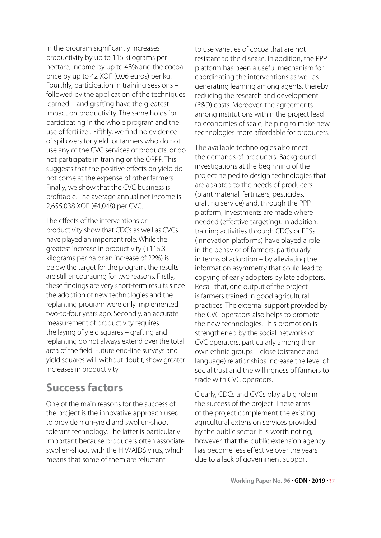in the program significantly increases productivity by up to 115 kilograms per hectare, income by up to 48% and the cocoa price by up to 42 XOF (0.06 euros) per kg. Fourthly, participation in training sessions – followed by the application of the techniques learned – and grafting have the greatest impact on productivity. The same holds for participating in the whole program and the use of fertilizer. Fifthly, we find no evidence of spillovers for yield for farmers who do not use any of the CVC services or products, or do not participate in training or the ORPP. This suggests that the positive effects on yield do not come at the expense of other farmers. Finally, we show that the CVC business is profitable. The average annual net income is 2,655,038 XOF (€4,048) per CVC.

The effects of the interventions on productivity show that CDCs as well as CVCs have played an important role. While the greatest increase in productivity (+115.3 kilograms per ha or an increase of 22%) is below the target for the program, the results are still encouraging for two reasons. Firstly, these findings are very short-term results since the adoption of new technologies and the replanting program were only implemented two-to-four years ago. Secondly, an accurate measurement of productivity requires the laying of yield squares – grafting and replanting do not always extend over the total area of the field. Future end-line surveys and yield squares will, without doubt, show greater increases in productivity.

### **Success factors**

One of the main reasons for the success of the project is the innovative approach used to provide high-yield and swollen-shoot tolerant technology. The latter is particularly important because producers often associate swollen-shoot with the HIV/AIDS virus, which means that some of them are reluctant

to use varieties of cocoa that are not resistant to the disease. In addition, the PPP platform has been a useful mechanism for coordinating the interventions as well as generating learning among agents, thereby reducing the research and development (R&D) costs. Moreover, the agreements among institutions within the project lead to economies of scale, helping to make new technologies more affordable for producers.

The available technologies also meet the demands of producers. Background investigations at the beginning of the project helped to design technologies that are adapted to the needs of producers (plant material, fertilizers, pesticides, grafting service) and, through the PPP platform, investments are made where needed (effective targeting). In addition, training activities through CDCs or FFSs (innovation platforms) have played a role in the behavior of farmers, particularly in terms of adoption – by alleviating the information asymmetry that could lead to copying of early adopters by late adopters. Recall that, one output of the project is farmers trained in good agricultural practices. The external support provided by the CVC operators also helps to promote the new technologies. This promotion is strengthened by the social networks of CVC operators, particularly among their own ethnic groups – close (distance and language) relationships increase the level of social trust and the willingness of farmers to trade with CVC operators.

Clearly, CDCs and CVCs play a big role in the success of the project. These arms of the project complement the existing agricultural extension services provided by the public sector. It is worth noting, however, that the public extension agency has become less effective over the years due to a lack of government support.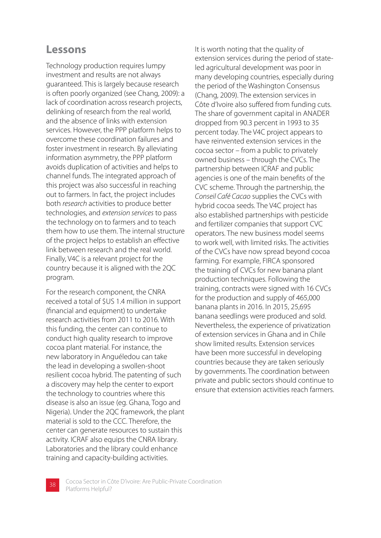### **Lessons**

Technology production requires lumpy investment and results are not always guaranteed. This is largely because research is often poorly organized (see Chang, 2009): a lack of coordination across research projects, delinking of research from the real world, and the absence of links with extension services. However, the PPP platform helps to overcome these coordination failures and foster investment in research. By alleviating information asymmetry, the PPP platform avoids duplication of activities and helps to channel funds. The integrated approach of this project was also successful in reaching out to farmers. In fact, the project includes both *research* activities to produce better technologies, and *extension services* to pass the technology on to farmers and to teach them how to use them. The internal structure of the project helps to establish an effective link between research and the real world. Finally, V4C is a relevant project for the country because it is aligned with the 2QC program.

For the research component, the CNRA received a total of \$US 1.4 million in support (financial and equipment) to undertake research activities from 2011 to 2016. With this funding, the center can continue to conduct high quality research to improve cocoa plant material. For instance, the new laboratory in Anguéledou can take the lead in developing a swollen-shoot resilient cocoa hybrid. The patenting of such a discovery may help the center to export the technology to countries where this disease is also an issue (eg. Ghana, Togo and Nigeria). Under the 2QC framework, the plant material is sold to the CCC. Therefore, the center can generate resources to sustain this activity. ICRAF also equips the CNRA library. Laboratories and the library could enhance training and capacity-building activities.

It is worth noting that the quality of extension services during the period of stateled agricultural development was poor in many developing countries, especially during the period of the Washington Consensus (Chang, 2009). The extension services in Côte d'Ivoire also suffered from funding cuts. The share of government capital in ANADER dropped from 90.3 percent in 1993 to 35 percent today. The V4C project appears to have reinvented extension services in the cocoa sector – from a public to privately owned business – through the CVCs. The partnership between ICRAF and public agencies is one of the main benefits of the CVC scheme. Through the partnership, the *Conseil Café Cacao* supplies the CVCs with hybrid cocoa seeds. The V4C project has also established partnerships with pesticide and fertilizer companies that support CVC operators. The new business model seems to work well, with limited risks. The activities of the CVCs have now spread beyond cocoa farming. For example, FIRCA sponsored the training of CVCs for new banana plant production techniques. Following the training, contracts were signed with 16 CVCs for the production and supply of 465,000 banana plants in 2016. In 2015, 25,695 banana seedlings were produced and sold. Nevertheless, the experience of privatization of extension services in Ghana and in Chile show limited results. Extension services have been more successful in developing countries because they are taken seriously by governments. The coordination between private and public sectors should continue to ensure that extension activities reach farmers.

Cocoa Sector in Côte D'ivoire: Are Public-Private Coordination **38** Platforms Helpful?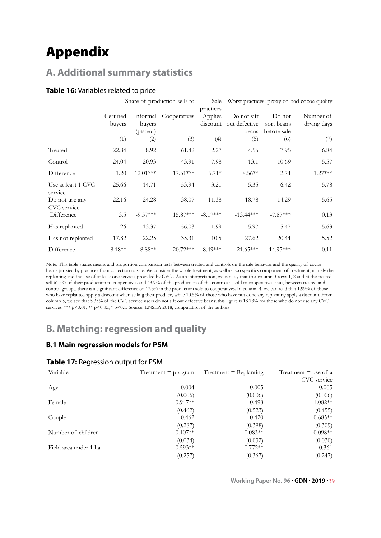## Appendix

#### **A. Additional summary statistics**

#### **Table 16:** Variables related to price

|                               | Share of production sells to |             | Sale         | Worst practices: proxy of bad cocoa quality |               |             |             |
|-------------------------------|------------------------------|-------------|--------------|---------------------------------------------|---------------|-------------|-------------|
|                               |                              |             |              | practices                                   |               |             |             |
|                               | Certified                    | Informal    | Cooperatives | Applies                                     | Do not sift   | Do not      | Number of   |
|                               | buyers                       | buyers      |              | discount                                    | out defective | sort beans  | drying days |
|                               |                              | (pisteur)   |              |                                             | beans         | before sale |             |
|                               | (1)                          | (2)         | (3)          | (4)                                         | (5)           | (6)         | (7)         |
| Treated                       | 22.84                        | 8.92        | 61.42        | 2.27                                        | 4.55          | 7.95        | 6.84        |
| Control                       | 24.04                        | 20.93       | 43.91        | 7.98                                        | 13.1          | 10.69       | 5.57        |
| Difference                    | $-1.20$                      | $-12.01***$ | $17.51***$   | $-5.71*$                                    | $-8.56**$     | $-2.74$     | $1.27***$   |
| Use at least 1 CVC<br>service | 25.66                        | 14.71       | 53.94        | 3.21                                        | 5.35          | 6.42        | 5.78        |
| Do not use any<br>CVC service | 22.16                        | 24.28       | 38.07        | 11.38                                       | 18.78         | 14.29       | 5.65        |
| Difference                    | 3.5                          | $-9.57***$  | 15.87***     | $-8.17***$                                  | $-13.44***$   | $-7.87***$  | 0.13        |
| Has replanted                 | 26                           | 13.37       | 56.03        | 1.99                                        | 5.97          | 5.47        | 5.63        |
| Has not replanted             | 17.82                        | 22.25       | 35.31        | 10.5                                        | 27.62         | 20.44       | 5.52        |
| Difference                    | $8.18**$                     | $-8.88**$   | $20.72***$   | $-8.49***$                                  | $-21.65***$   | $-14.97***$ | 0.11        |

Note: This table shares means and proportion comparison tests between treated and controls on the sale behavior and the quality of cocoa beans proxied by practices from collection to sale. We consider the whole treatment, as well as two specifics component of treatment, namely the replanting and the use of at least one service, provided by CVCs. As an interpretation, we can say that (for column 3 rows 1, 2 and 3) the treated sell 61.4% of their production to cooperatives and 43.9% of the production of the controls is sold to cooperatives thus, between treated and control groups, there is a significant difference of 17.5% in the production sold to cooperatives. In column 4, we can read that 1.99% of those who have replanted apply a discount when selling their produce, while 10.5% of those who have not done any replanting apply a discount. From column 5, we see that 5.35% of the CVC service users do not sift out defective beans; this figure is 18.78% for those who do not use any CVC services. \*\*\* p<0.01, \*\* p<0.05, \* p<0.1. Source: ENSEA 2018, computation of the authors

### **B. Matching: regression and quality**

#### **B.1 Main regression models for PSM**

| Variable              | Treatment $=$ program | $Treatment = Replanting$ | Treatment $=$ use of a |
|-----------------------|-----------------------|--------------------------|------------------------|
|                       |                       |                          | CVC service            |
| Age                   | $-0.004$              | 0.005                    | $-0.005$               |
|                       | (0.006)               | (0.006)                  | (0.006)                |
| Female                | $0.947**$             | 0.498                    | $1.082**$              |
|                       | (0.462)               | (0.523)                  | (0.455)                |
| Couple                | 0.462                 | 0.420                    | $0.685**$              |
|                       | (0.287)               | (0.398)                  | (0.309)                |
| Number of children    | $0.107**$             | $0.083**$                | $0.098**$              |
|                       | (0.034)               | (0.032)                  | (0.030)                |
| Field area under 1 ha | $-0.593**$            | $-0.772**$               | $-0.361$               |
|                       | (0.257)               | (0.367)                  | (0.247)                |

**Working Paper No. 96 . GDN . 2019 .** 39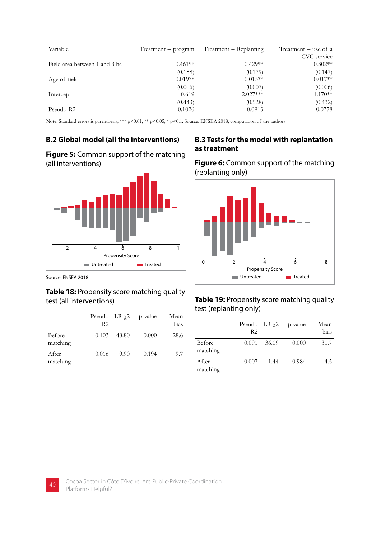| Variable                      | $Treatment = program$ | $Treatment = Replanting$ | Treatment $=$ use of a |
|-------------------------------|-----------------------|--------------------------|------------------------|
|                               |                       |                          | CVC service            |
| Field area between 1 and 3 ha | $-0.461**$            | $-0.429**$               | $-0.302**$             |
|                               | (0.158)               | (0.179)                  | (0.147)                |
| Age of field                  | $0.019**$             | $0.015**$                | $0.017**$              |
|                               | (0.006)               | (0.007)                  | (0.006)                |
| Intercept                     | $-0.619$              | $-2.027***$              | $-1.170**$             |
|                               | (0.443)               | (0.528)                  | (0.432)                |
| Pseudo-R2                     | 0.1026                | 0.0913                   | 0.0778                 |

Note: Standard errors is parenthesis; \*\*\* p<0.01, \*\* p<0.05, \* p<0.1. Source: ENSEA 2018, computation of the authors

#### **Figure 5:** Common support of the matching (all interventions)



Source: ENSEA 2018

# **Table 18:** Propensity score matching quality

|                    | Pseudo LR $\chi$ 2<br>R <sub>2</sub> |       | p-value | Mean<br>bias |
|--------------------|--------------------------------------|-------|---------|--------------|
| Before<br>matching | 0.103                                | 48.80 | 0.000   | 28.6         |
| After<br>matching  | 0.016                                | 9.90  | 0.194   | 9.7          |

#### **B.2 Global model (all the interventions) B.3 Tests for the model with replantation as treatment**

**Figure 6:** Common support of the matching (replanting only)



#### test (all interventions) **Table 19:** Propensity score matching quality test (replanting only)

|                    | Pseudo LR $\chi$ 2<br>R <sub>2</sub> |       | p-value | Mean<br>bias |
|--------------------|--------------------------------------|-------|---------|--------------|
| Before<br>matching | 0.091                                | 36.09 | 0.000   | 31.7         |
| After<br>matching  | 0.007                                | 1.44  | 0.984   | 4.5          |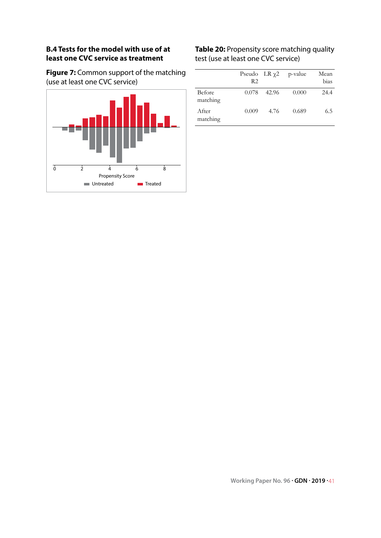#### **B.4 Tests for the model with use of at least one CVC service as treatment**

**Figure 7:** Common support of the matching (use at least one CVC service)



#### **Table 20:** Propensity score matching quality test (use at least one CVC service)

|                    | Pseudo LR $\chi$ 2<br>R2 |       | p-value | Mean<br>bias |
|--------------------|--------------------------|-------|---------|--------------|
| Before<br>matching | 0.078                    | 42.96 | 0.000   | 24.4         |
| After<br>matching  | 0.009                    | 4.76  | 0.689   | 6.5          |

**Working Paper No. 96 . GDN . 2019 .** 41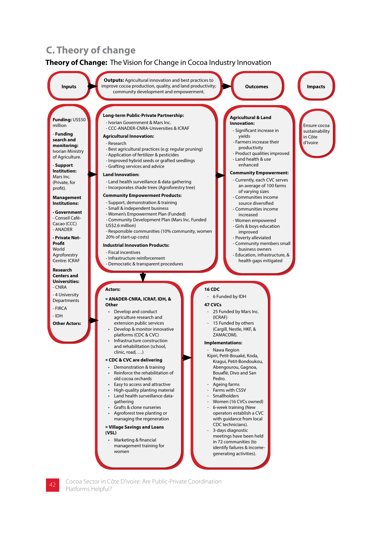#### **C. Theory of change**

#### **Theory of Change:** The Vision for Change in Cocoa Industry Innovation



Cocoa Sector in Côte D'ivoire: Are Public-Private Coordination **42** Platforms Helpful?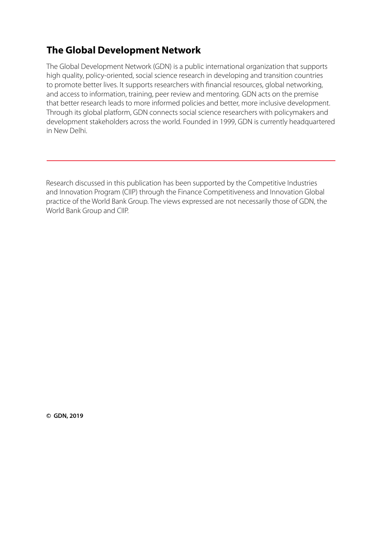### **The Global Development Network**

The Global Development Network (GDN) is a public international organization that supports high quality, policy-oriented, social science research in developing and transition countries to promote better lives. It supports researchers with financial resources, global networking, and access to information, training, peer review and mentoring. GDN acts on the premise that better research leads to more informed policies and better, more inclusive development. Through its global platform, GDN connects social science researchers with policymakers and development stakeholders across the world. Founded in 1999, GDN is currently headquartered in New Delhi.

Research discussed in this publication has been supported by the Competitive Industries and Innovation Program (CIIP) through the Finance Competitiveness and Innovation Global practice of the World Bank Group. The views expressed are not necessarily those of GDN, the World Bank Group and CIIP.

c **GDN, 2019**